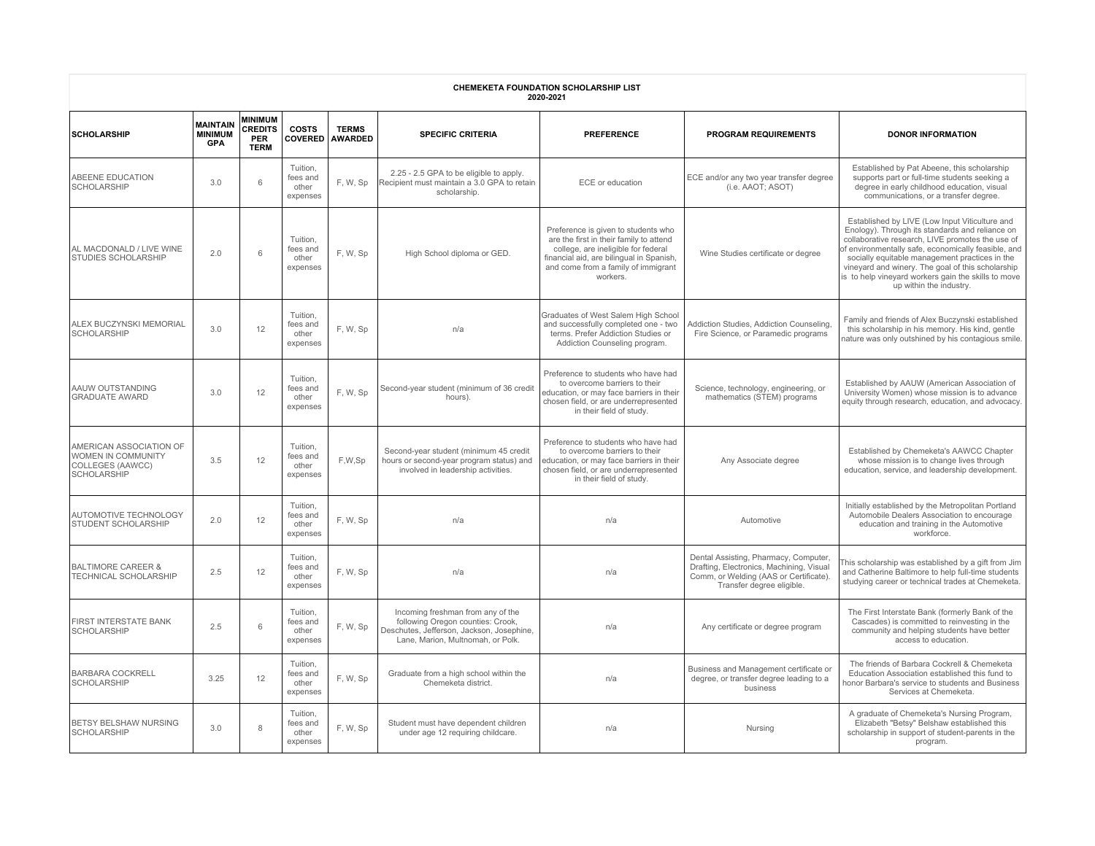| <b>CHEMEKETA FOUNDATION SCHOLARSHIP LIST</b><br>2020-2021                                      |                                                 |                                                               |                                           |                                |                                                                                                                                                          |                                                                                                                                                                                                                      |                                                                                                                                                          |                                                                                                                                                                                                                                                                                                                                                                                                      |  |  |
|------------------------------------------------------------------------------------------------|-------------------------------------------------|---------------------------------------------------------------|-------------------------------------------|--------------------------------|----------------------------------------------------------------------------------------------------------------------------------------------------------|----------------------------------------------------------------------------------------------------------------------------------------------------------------------------------------------------------------------|----------------------------------------------------------------------------------------------------------------------------------------------------------|------------------------------------------------------------------------------------------------------------------------------------------------------------------------------------------------------------------------------------------------------------------------------------------------------------------------------------------------------------------------------------------------------|--|--|
| <b>SCHOLARSHIP</b>                                                                             | <b>MAINTAIN</b><br><b>MINIMUM</b><br><b>GPA</b> | <b>MINIMUM</b><br><b>CREDITS</b><br><b>PER</b><br><b>TERM</b> | <b>COSTS</b><br><b>COVERED</b>            | <b>TERMS</b><br><b>AWARDED</b> | <b>SPECIFIC CRITERIA</b>                                                                                                                                 | <b>PREFERENCE</b>                                                                                                                                                                                                    | <b>PROGRAM REQUIREMENTS</b>                                                                                                                              | <b>DONOR INFORMATION</b>                                                                                                                                                                                                                                                                                                                                                                             |  |  |
| ABEENE EDUCATION<br>SCHOLARSHIP                                                                | 3.0                                             | 6                                                             | Tuition,<br>fees and<br>other<br>expenses | F, W, Sp                       | 2.25 - 2.5 GPA to be eligible to apply.<br>Recipient must maintain a 3.0 GPA to retain<br>scholarship.                                                   | ECE or education                                                                                                                                                                                                     | ECE and/or any two year transfer degree<br>(i.e. AAOT; ASOT)                                                                                             | Established by Pat Abeene, this scholarship<br>supports part or full-time students seeking a<br>degree in early childhood education, visual<br>communications, or a transfer degree.                                                                                                                                                                                                                 |  |  |
| AL MACDONALD / LIVE WINE<br><b>STUDIES SCHOLARSHIP</b>                                         | 2.0                                             | 6                                                             | Tuition,<br>fees and<br>other<br>expenses | F, W, Sp                       | High School diploma or GED.                                                                                                                              | Preference is given to students who<br>are the first in their family to attend<br>college, are ineligible for federal<br>financial aid, are bilingual in Spanish,<br>and come from a family of immigrant<br>workers. | Wine Studies certificate or degree                                                                                                                       | Established by LIVE (Low Input Viticulture and<br>Enology). Through its standards and reliance on<br>collaborative research, LIVE promotes the use of<br>f environmentally safe, economically feasible, and<br>socially equitable management practices in the<br>vineyard and winery. The goal of this scholarship<br>is to help vineyard workers gain the skills to move<br>up within the industry. |  |  |
| ALEX BUCZYNSKI MEMORIAL<br><b>SCHOLARSHIP</b>                                                  | 3.0                                             | 12                                                            | Tuition,<br>fees and<br>other<br>expenses | F, W, Sp                       | n/a                                                                                                                                                      | Graduates of West Salem High School<br>and successfully completed one - two<br>terms. Prefer Addiction Studies or<br>Addiction Counseling program.                                                                   | Addiction Studies, Addiction Counseling,<br>Fire Science, or Paramedic programs                                                                          | Family and friends of Alex Buczynski established<br>this scholarship in his memory. His kind, gentle<br>nature was only outshined by his contagious smile.                                                                                                                                                                                                                                           |  |  |
| AAUW OUTSTANDING<br><b>GRADUATE AWARD</b>                                                      | 3.0                                             | 12                                                            | Tuition,<br>fees and<br>other<br>expenses | F, W, Sp                       | Second-year student (minimum of 36 credit<br>hours).                                                                                                     | Preference to students who have had<br>to overcome barriers to their<br>education, or may face barriers in their<br>chosen field, or are underrepresented<br>in their field of study.                                | Science, technology, engineering, or<br>mathematics (STEM) programs                                                                                      | Established by AAUW (American Association of<br>University Women) whose mission is to advance<br>equity through research, education, and advocacy.                                                                                                                                                                                                                                                   |  |  |
| AMERICAN ASSOCIATION OF<br><b>WOMEN IN COMMUNITY</b><br>COLLEGES (AAWCC)<br><b>SCHOLARSHIP</b> | 3.5                                             | 12                                                            | Tuition,<br>fees and<br>other<br>expenses | F.W.Sp                         | Second-year student (minimum 45 credit<br>hours or second-year program status) and<br>involved in leadership activities.                                 | Preference to students who have had<br>to overcome barriers to their<br>education, or may face barriers in their<br>chosen field, or are underrepresented<br>in their field of study.                                | Any Associate degree                                                                                                                                     | Established by Chemeketa's AAWCC Chapter<br>whose mission is to change lives through<br>education, service, and leadership development.                                                                                                                                                                                                                                                              |  |  |
| AUTOMOTIVE TECHNOLOGY<br><b>STUDENT SCHOLARSHIP</b>                                            | 2.0                                             | 12                                                            | Tuition,<br>fees and<br>other<br>expenses | F, W, Sp                       | n/a                                                                                                                                                      | n/a                                                                                                                                                                                                                  | Automotive                                                                                                                                               | Initially established by the Metropolitan Portland<br>Automobile Dealers Association to encourage<br>education and training in the Automotive<br>workforce.                                                                                                                                                                                                                                          |  |  |
| <b>BALTIMORE CAREER &amp;</b><br>TECHNICAL SCHOLARSHIP                                         | 2.5                                             | 12                                                            | Tuition,<br>fees and<br>other<br>expenses | F, W, Sp                       | n/a                                                                                                                                                      | n/a                                                                                                                                                                                                                  | Dental Assisting, Pharmacy, Computer,<br>Drafting, Electronics, Machining, Visual<br>Comm, or Welding (AAS or Certificate).<br>Transfer degree eligible. | This scholarship was established by a gift from Jim<br>and Catherine Baltimore to help full-time students<br>studying career or technical trades at Chemeketa.                                                                                                                                                                                                                                       |  |  |
| FIRST INTERSTATE BANK<br>SCHOLARSHIP                                                           | 2.5                                             | 6                                                             | Tuition,<br>fees and<br>other<br>expenses | F, W, Sp                       | Incoming freshman from any of the<br>following Oregon counties: Crook,<br>Deschutes, Jefferson, Jackson, Josephine,<br>Lane, Marion, Multnomah, or Polk. | n/a                                                                                                                                                                                                                  | Any certificate or degree program                                                                                                                        | The First Interstate Bank (formerly Bank of the<br>Cascades) is committed to reinvesting in the<br>community and helping students have better<br>access to education                                                                                                                                                                                                                                 |  |  |
| <b>BARBARA COCKRELL</b><br><b>SCHOLARSHIP</b>                                                  | 3.25                                            | 12                                                            | Tuition.<br>fees and<br>other<br>expenses | F, W, Sp                       | Graduate from a high school within the<br>Chemeketa district.                                                                                            | n/a                                                                                                                                                                                                                  | Business and Management certificate or<br>degree, or transfer degree leading to a<br>business                                                            | The friends of Barbara Cockrell & Chemeketa<br>Education Association established this fund to<br>honor Barbara's service to students and Business<br>Services at Chemeketa.                                                                                                                                                                                                                          |  |  |
| BETSY BELSHAW NURSING<br><b>SCHOLARSHIP</b>                                                    | 3.0                                             | R                                                             | Tuition,<br>fees and<br>other<br>expenses | F.W, Sp                        | Student must have dependent children<br>under age 12 requiring childcare.                                                                                | n/a                                                                                                                                                                                                                  | Nursing                                                                                                                                                  | A graduate of Chemeketa's Nursing Program,<br>Elizabeth "Betsy" Belshaw established this<br>scholarship in support of student-parents in the<br>program.                                                                                                                                                                                                                                             |  |  |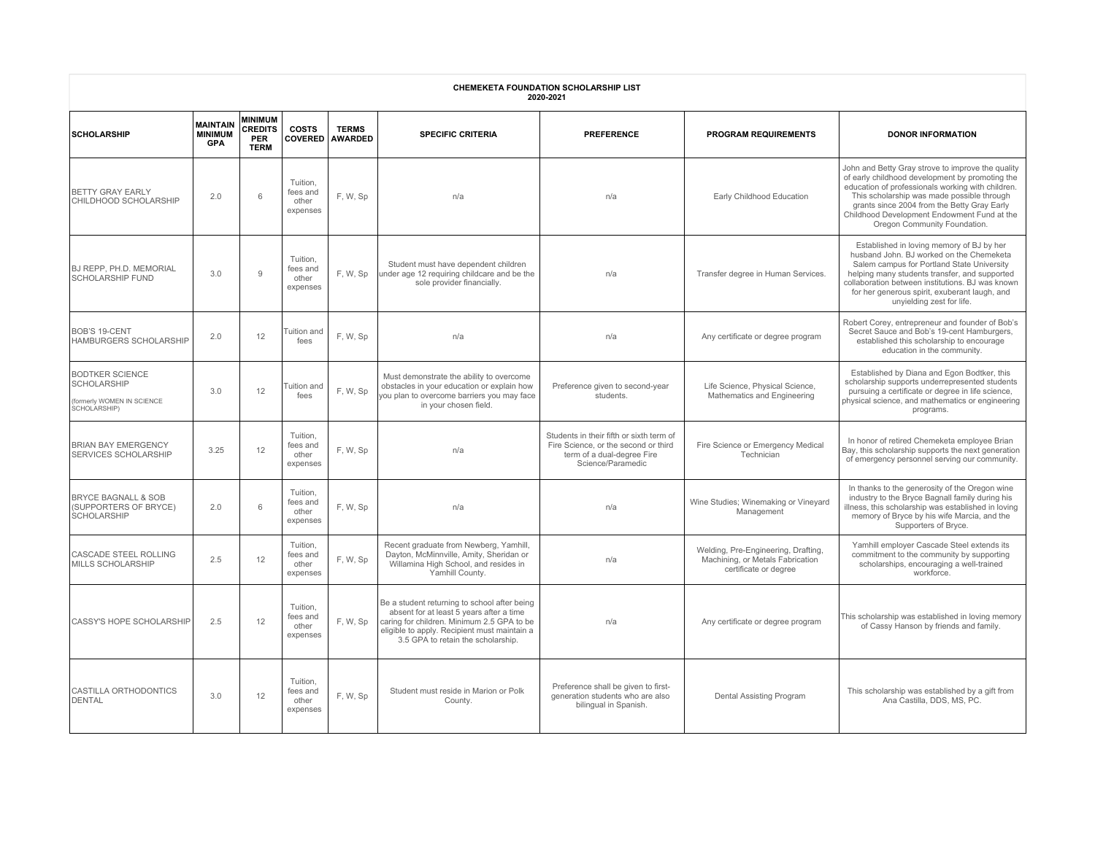| <b>CHEMEKETA FOUNDATION SCHOLARSHIP LIST</b><br>2020-2021                           |                                                 |                                                               |                                           |                                |                                                                                                                                                                                                                              |                                                                                                                                     |                                                                                                  |                                                                                                                                                                                                                                                                                                                                       |  |  |  |
|-------------------------------------------------------------------------------------|-------------------------------------------------|---------------------------------------------------------------|-------------------------------------------|--------------------------------|------------------------------------------------------------------------------------------------------------------------------------------------------------------------------------------------------------------------------|-------------------------------------------------------------------------------------------------------------------------------------|--------------------------------------------------------------------------------------------------|---------------------------------------------------------------------------------------------------------------------------------------------------------------------------------------------------------------------------------------------------------------------------------------------------------------------------------------|--|--|--|
| <b>SCHOLARSHIP</b>                                                                  | <b>MAINTAIN</b><br><b>MINIMUM</b><br><b>GPA</b> | <b>MINIMUM</b><br><b>CREDITS</b><br><b>PER</b><br><b>TERM</b> | <b>COSTS</b><br><b>COVERED</b>            | <b>TERMS</b><br><b>AWARDED</b> | <b>SPECIFIC CRITERIA</b>                                                                                                                                                                                                     | <b>PREFERENCE</b>                                                                                                                   | <b>PROGRAM REQUIREMENTS</b>                                                                      | <b>DONOR INFORMATION</b>                                                                                                                                                                                                                                                                                                              |  |  |  |
| <b>BETTY GRAY EARLY</b><br>CHILDHOOD SCHOLARSHIP                                    | 2.0                                             | 6                                                             | Tuition,<br>fees and<br>other<br>expenses | F.W.Sp                         | n/a                                                                                                                                                                                                                          | n/a                                                                                                                                 | Early Childhood Education                                                                        | John and Betty Gray strove to improve the quality<br>of early childhood development by promoting the<br>education of professionals working with children.<br>This scholarship was made possible through<br>grants since 2004 from the Betty Gray Early<br>Childhood Development Endowment Fund at the<br>Oregon Community Foundation. |  |  |  |
| <b>BJ REPP, PH.D. MEMORIAL</b><br><b>SCHOLARSHIP FUND</b>                           | 3.0                                             | 9                                                             | Tuition,<br>fees and<br>other<br>expenses | F.W, Sp                        | Student must have dependent children<br>under age 12 requiring childcare and be the<br>sole provider financially.                                                                                                            | n/a                                                                                                                                 | Transfer degree in Human Services.                                                               | Established in loving memory of BJ by her<br>husband John. BJ worked on the Chemeketa<br>Salem campus for Portland State University<br>helping many students transfer, and supported<br>collaboration between institutions. BJ was known<br>for her generous spirit, exuberant laugh, and<br>unyielding zest for life.                |  |  |  |
| <b>BOB'S 19-CENT</b><br>HAMBURGERS SCHOLARSHIP                                      | 2.0                                             | 12                                                            | Tuition and<br>fees                       | F, W, Sp                       | n/a                                                                                                                                                                                                                          | n/a                                                                                                                                 | Any certificate or degree program                                                                | Robert Corey, entrepreneur and founder of Bob's<br>Secret Sauce and Bob's 19-cent Hamburgers,<br>established this scholarship to encourage<br>education in the community.                                                                                                                                                             |  |  |  |
| <b>BODTKER SCIENCE</b><br>SCHOLARSHIP<br>(formerly WOMEN IN SCIENCE<br>SCHOLARSHIP) | 3.0                                             | 12                                                            | Tuition and<br>fees                       | F. W, Sp                       | Must demonstrate the ability to overcome<br>obstacles in your education or explain how<br>you plan to overcome barriers you may face<br>in your chosen field.                                                                | Preference given to second-year<br>students.                                                                                        | Life Science, Physical Science,<br>Mathematics and Engineering                                   | Established by Diana and Egon Bodtker, this<br>scholarship supports underrepresented students<br>pursuing a certificate or degree in life science,<br>physical science, and mathematics or engineering<br>programs.                                                                                                                   |  |  |  |
| <b>BRIAN BAY EMERGENCY</b><br><b>SERVICES SCHOLARSHIP</b>                           | 3.25                                            | 12                                                            | Tuition.<br>fees and<br>other<br>expenses | F, W, Sp                       | n/a                                                                                                                                                                                                                          | Students in their fifth or sixth term of<br>Fire Science, or the second or third<br>term of a dual-degree Fire<br>Science/Paramedic | Fire Science or Emergency Medical<br>Technician                                                  | In honor of retired Chemeketa employee Brian<br>Bay, this scholarship supports the next generation<br>of emergency personnel serving our community.                                                                                                                                                                                   |  |  |  |
| <b>BRYCE BAGNALL &amp; SOB</b><br>(SUPPORTERS OF BRYCE)<br><b>SCHOLARSHIP</b>       | 2.0                                             | 6                                                             | Tuition,<br>fees and<br>other<br>expenses | F, W, Sp                       | n/a                                                                                                                                                                                                                          | n/a                                                                                                                                 | Wine Studies; Winemaking or Vineyard<br>Management                                               | In thanks to the generosity of the Oregon wine<br>industry to the Bryce Bagnall family during his<br>illness, this scholarship was established in loving<br>memory of Bryce by his wife Marcia, and the<br>Supporters of Bryce.                                                                                                       |  |  |  |
| CASCADE STEEL ROLLING<br>MILLS SCHOLARSHIP                                          | 2.5                                             | 12                                                            | Tuition,<br>fees and<br>other<br>expenses | F, W, Sp                       | Recent graduate from Newberg, Yamhill,<br>Dayton, McMinnville, Amity, Sheridan or<br>Willamina High School, and resides in<br>Yamhill County.                                                                                | n/a                                                                                                                                 | Welding, Pre-Engineering, Drafting,<br>Machining, or Metals Fabrication<br>certificate or degree | Yamhill employer Cascade Steel extends its<br>commitment to the community by supporting<br>scholarships, encouraging a well-trained<br>workforce.                                                                                                                                                                                     |  |  |  |
| CASSY'S HOPE SCHOLARSHIP                                                            | 2.5                                             | 12                                                            | Tuition,<br>fees and<br>other<br>expenses | F, W, Sp                       | Be a student returning to school after being<br>absent for at least 5 years after a time<br>caring for children. Minimum 2.5 GPA to be<br>eligible to apply. Recipient must maintain a<br>3.5 GPA to retain the scholarship. | n/a                                                                                                                                 | Any certificate or degree program                                                                | This scholarship was established in loving memory<br>of Cassy Hanson by friends and family.                                                                                                                                                                                                                                           |  |  |  |
| CASTILLA ORTHODONTICS<br>DENTAL                                                     | 3.0                                             | 12                                                            | Tuition,<br>fees and<br>other<br>expenses | F, W, Sp                       | Student must reside in Marion or Polk<br>County.                                                                                                                                                                             | Preference shall be given to first-<br>generation students who are also<br>bilingual in Spanish.                                    | Dental Assisting Program                                                                         | This scholarship was established by a gift from<br>Ana Castilla, DDS, MS, PC.                                                                                                                                                                                                                                                         |  |  |  |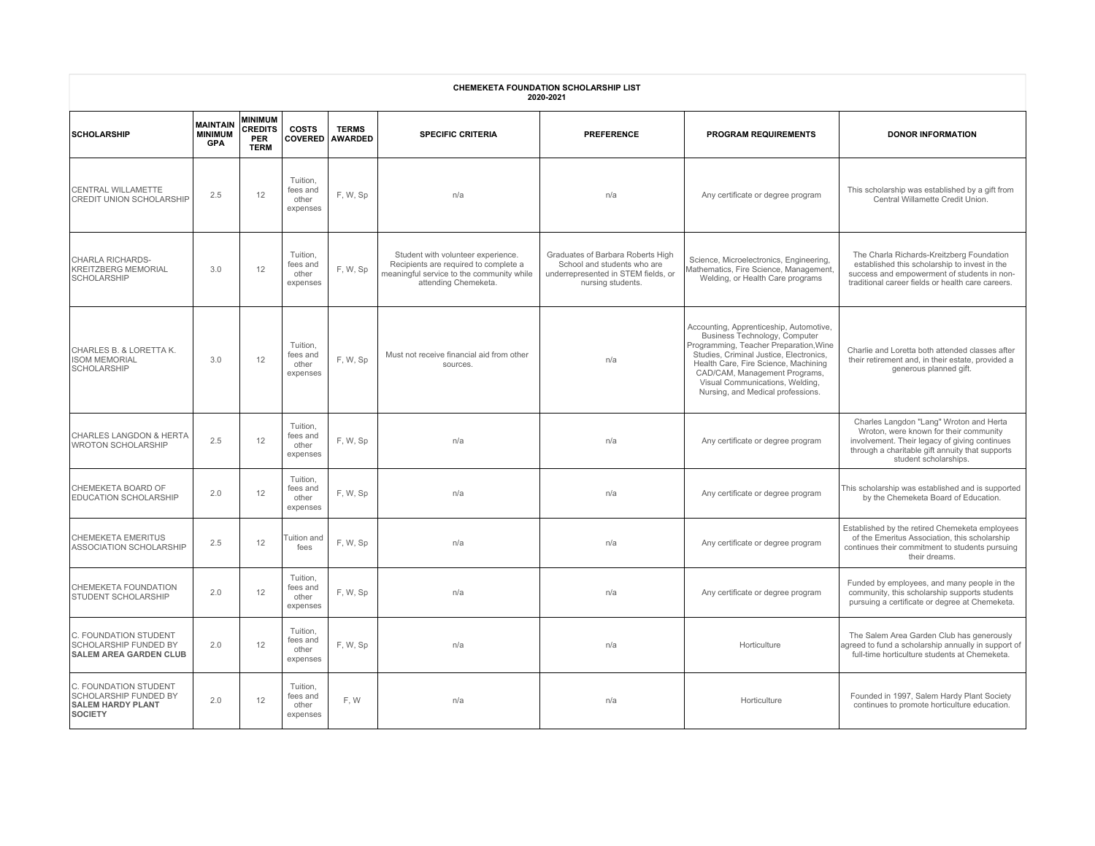| CHEMEKETA FOUNDATION SCHOLARSHIP LIST<br>2020-2021                                           |                                                 |                                                               |                                           |                                |                                                                                                                                                  |                                                                                                                              |                                                                                                                                                                                                                                                                                                                |                                                                                                                                                                                                                |  |  |  |
|----------------------------------------------------------------------------------------------|-------------------------------------------------|---------------------------------------------------------------|-------------------------------------------|--------------------------------|--------------------------------------------------------------------------------------------------------------------------------------------------|------------------------------------------------------------------------------------------------------------------------------|----------------------------------------------------------------------------------------------------------------------------------------------------------------------------------------------------------------------------------------------------------------------------------------------------------------|----------------------------------------------------------------------------------------------------------------------------------------------------------------------------------------------------------------|--|--|--|
| <b>SCHOLARSHIP</b>                                                                           | <b>MAINTAIN</b><br><b>MINIMUM</b><br><b>GPA</b> | <b>MINIMUM</b><br><b>CREDITS</b><br><b>PER</b><br><b>TERM</b> | <b>COSTS</b><br><b>COVERED</b>            | <b>TERMS</b><br><b>AWARDED</b> | <b>SPECIFIC CRITERIA</b>                                                                                                                         | <b>PREFERENCE</b>                                                                                                            | PROGRAM REQUIREMENTS                                                                                                                                                                                                                                                                                           | <b>DONOR INFORMATION</b>                                                                                                                                                                                       |  |  |  |
| CENTRAL WILLAMETTE<br>CREDIT UNION SCHOLARSHIP                                               | 2.5                                             | 12                                                            | Tuition,<br>fees and<br>other<br>expenses | F. W, Sp                       | n/a                                                                                                                                              | n/a                                                                                                                          | Any certificate or degree program                                                                                                                                                                                                                                                                              | This scholarship was established by a gift from<br>Central Willamette Credit Union.                                                                                                                            |  |  |  |
| <b>CHARLA RICHARDS-</b><br><b>KREITZBERG MEMORIAL</b><br><b>SCHOLARSHIP</b>                  | 3.0                                             | 12                                                            | Tuition,<br>fees and<br>other<br>expenses | F.W, Sp                        | Student with volunteer experience.<br>Recipients are required to complete a<br>meaningful service to the community while<br>attending Chemeketa. | Graduates of Barbara Roberts High<br>School and students who are<br>underrepresented in STEM fields, or<br>nursing students. | Science, Microelectronics, Engineering,<br>Mathematics, Fire Science, Management,<br>Welding, or Health Care programs                                                                                                                                                                                          | The Charla Richards-Kreitzberg Foundation<br>established this scholarship to invest in the<br>success and empowerment of students in non-<br>traditional career fields or health care careers.                 |  |  |  |
| CHARLES B. & LORETTA K.<br><b>ISOM MEMORIAL</b><br><b>SCHOLARSHIP</b>                        | 3.0                                             | 12                                                            | Tuition.<br>fees and<br>other<br>expenses | F. W, Sp                       | Must not receive financial aid from other<br>sources.                                                                                            | n/a                                                                                                                          | Accounting, Apprenticeship, Automotive,<br>Business Technology, Computer<br>Programming, Teacher Preparation, Wine<br>Studies, Criminal Justice, Electronics,<br>Health Care, Fire Science, Machining<br>CAD/CAM, Management Programs,<br>Visual Communications, Welding,<br>Nursing, and Medical professions. | Charlie and Loretta both attended classes after<br>their retirement and, in their estate, provided a<br>generous planned gift.                                                                                 |  |  |  |
| CHARLES LANGDON & HERTA<br><b>WROTON SCHOLARSHIP</b>                                         | 2.5                                             | 12                                                            | Tuition,<br>fees and<br>other<br>expenses | F, W, Sp                       | n/a                                                                                                                                              | n/a                                                                                                                          | Any certificate or degree program                                                                                                                                                                                                                                                                              | Charles Langdon "Lang" Wroton and Herta<br>Wroton, were known for their community<br>involvement. Their legacy of giving continues<br>through a charitable gift annuity that supports<br>student scholarships. |  |  |  |
| CHEMEKETA BOARD OF<br><b>EDUCATION SCHOLARSHIP</b>                                           | 2.0                                             | 12                                                            | Tuition,<br>fees and<br>other<br>expenses | F, W, Sp                       | n/a                                                                                                                                              | n/a                                                                                                                          | Any certificate or degree program                                                                                                                                                                                                                                                                              | This scholarship was established and is supported<br>by the Chemeketa Board of Education.                                                                                                                      |  |  |  |
| <b>CHEMEKETA EMERITUS</b><br>ASSOCIATION SCHOLARSHIP                                         | 2.5                                             | 12                                                            | Tuition and<br>fees                       | F, W, Sp                       | n/a                                                                                                                                              | n/a                                                                                                                          | Any certificate or degree program                                                                                                                                                                                                                                                                              | Established by the retired Chemeketa employees<br>of the Emeritus Association, this scholarship<br>continues their commitment to students pursuing<br>their dreams.                                            |  |  |  |
| <b>CHEMEKETA FOUNDATION</b><br><b>STUDENT SCHOLARSHIP</b>                                    | 2.0                                             | 12                                                            | Tuition.<br>fees and<br>other<br>expenses | F, W, Sp                       | n/a                                                                                                                                              | n/a                                                                                                                          | Any certificate or degree program                                                                                                                                                                                                                                                                              | Funded by employees, and many people in the<br>community, this scholarship supports students<br>pursuing a certificate or degree at Chemeketa.                                                                 |  |  |  |
| C. FOUNDATION STUDENT<br><b>SCHOLARSHIP FUNDED BY</b><br><b>SALEM AREA GARDEN CLUB</b>       | 2.0                                             | 12                                                            | Tuition,<br>fees and<br>other<br>expenses | F, W, Sp                       | n/a                                                                                                                                              | n/a                                                                                                                          | Horticulture                                                                                                                                                                                                                                                                                                   | The Salem Area Garden Club has generously<br>agreed to fund a scholarship annually in support of<br>full-time horticulture students at Chemeketa.                                                              |  |  |  |
| C. FOUNDATION STUDENT<br><b>SCHOLARSHIP FUNDED BY</b><br><b>SALEM HARDY PLANT</b><br>SOCIETY | 2.0                                             | 12                                                            | Tuition.<br>fees and<br>other<br>expenses | F, W                           | n/a                                                                                                                                              | n/a                                                                                                                          | Horticulture                                                                                                                                                                                                                                                                                                   | Founded in 1997, Salem Hardy Plant Society<br>continues to promote horticulture education.                                                                                                                     |  |  |  |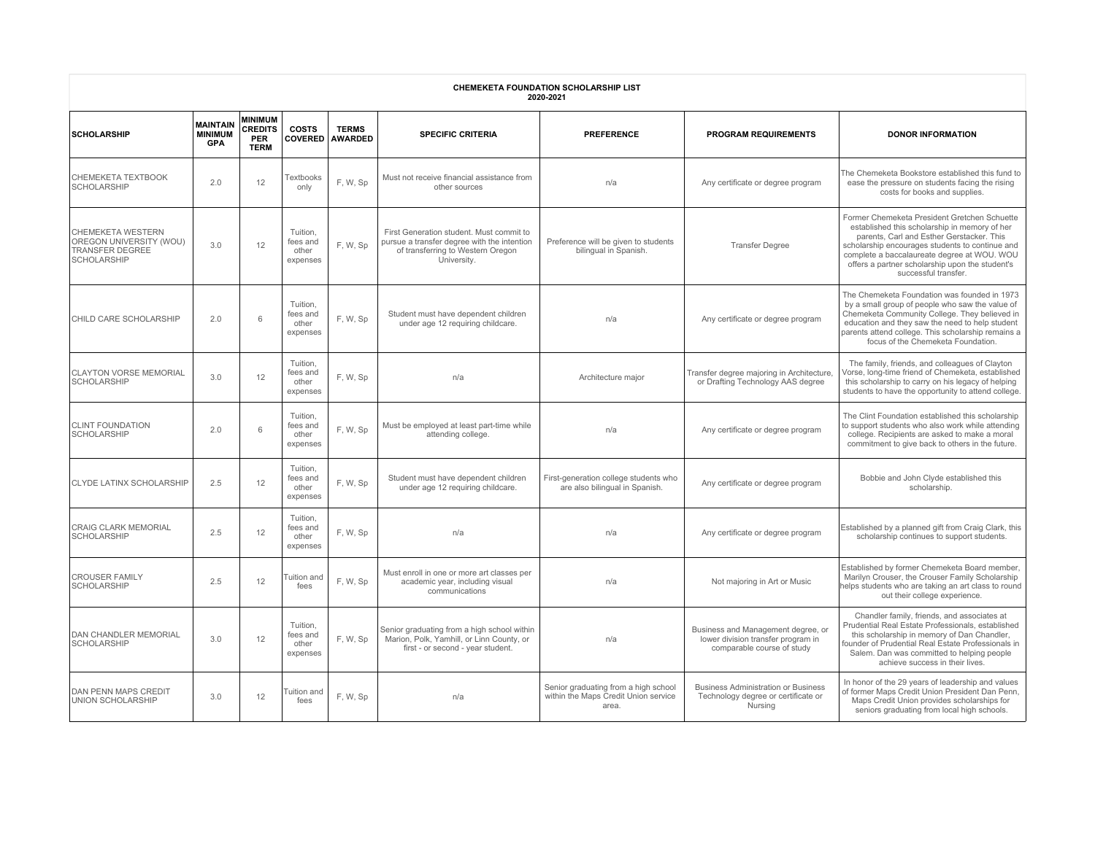| <b>CHEMEKETA FOUNDATION SCHOLARSHIP LIST</b><br>2020-2021                                           |                                                 |                                                               |                                           |                                |                                                                                                                                             |                                                                                       |                                                                                                        |                                                                                                                                                                                                                                                                                                                         |  |  |  |
|-----------------------------------------------------------------------------------------------------|-------------------------------------------------|---------------------------------------------------------------|-------------------------------------------|--------------------------------|---------------------------------------------------------------------------------------------------------------------------------------------|---------------------------------------------------------------------------------------|--------------------------------------------------------------------------------------------------------|-------------------------------------------------------------------------------------------------------------------------------------------------------------------------------------------------------------------------------------------------------------------------------------------------------------------------|--|--|--|
| <b>SCHOLARSHIP</b>                                                                                  | <b>MAINTAIN</b><br><b>MINIMUM</b><br><b>GPA</b> | <b>MINIMUM</b><br><b>CREDITS</b><br><b>PER</b><br><b>TERM</b> | <b>COSTS</b><br><b>COVERED</b>            | <b>TERMS</b><br><b>AWARDED</b> | <b>SPECIFIC CRITERIA</b>                                                                                                                    | <b>PREFERENCE</b>                                                                     | <b>PROGRAM REQUIREMENTS</b>                                                                            | <b>DONOR INFORMATION</b>                                                                                                                                                                                                                                                                                                |  |  |  |
| CHEMEKETA TEXTBOOK<br><b>SCHOLARSHIP</b>                                                            | 2.0                                             | 12                                                            | Textbooks<br>only                         | F. W. Sp                       | Must not receive financial assistance from<br>other sources                                                                                 | n/a                                                                                   | Any certificate or degree program                                                                      | The Chemeketa Bookstore established this fund to<br>ease the pressure on students facing the rising<br>costs for books and supplies.                                                                                                                                                                                    |  |  |  |
| <b>CHEMEKETA WESTERN</b><br>OREGON UNIVERSITY (WOU)<br><b>TRANSFER DEGREE</b><br><b>SCHOLARSHIP</b> | 3.0                                             | 12                                                            | Tuition.<br>fees and<br>other<br>expenses | F, W, Sp                       | First Generation student. Must commit to<br>pursue a transfer degree with the intention<br>of transferring to Western Oregon<br>University. | Preference will be given to students<br>bilingual in Spanish.                         | <b>Transfer Degree</b>                                                                                 | Former Chemeketa President Gretchen Schuette<br>established this scholarship in memory of her<br>parents, Carl and Esther Gerstacker. This<br>scholarship encourages students to continue and<br>complete a baccalaureate degree at WOU. WOU<br>offers a partner scholarship upon the student's<br>successful transfer. |  |  |  |
| CHILD CARE SCHOLARSHIP                                                                              | 2.0                                             | 6                                                             | Tuition,<br>fees and<br>other<br>expenses | F.W, Sp                        | Student must have dependent children<br>under age 12 requiring childcare.                                                                   | n/a                                                                                   | Any certificate or degree program                                                                      | The Chemeketa Foundation was founded in 1973<br>by a small group of people who saw the value of<br>Chemeketa Community College. They believed in<br>education and they saw the need to help student<br>parents attend college. This scholarship remains a<br>focus of the Chemeketa Foundation.                         |  |  |  |
| <b>CLAYTON VORSE MEMORIAL</b><br><b>SCHOLARSHIP</b>                                                 | 3.0                                             | 12                                                            | Tuition,<br>fees and<br>other<br>expenses | F, W, Sp                       | n/a                                                                                                                                         | Architecture major                                                                    | Transfer degree majoring in Architecture,<br>or Drafting Technology AAS degree                         | The family, friends, and colleagues of Clayton<br>Vorse, long-time friend of Chemeketa, established<br>this scholarship to carry on his legacy of helping<br>students to have the opportunity to attend college.                                                                                                        |  |  |  |
| <b>CLINT FOUNDATION</b><br><b>SCHOLARSHIP</b>                                                       | 2.0                                             | 6                                                             | Tuition,<br>fees and<br>other<br>expenses | F, W, Sp                       | Must be employed at least part-time while<br>attending college.                                                                             | n/a                                                                                   | Any certificate or degree program                                                                      | The Clint Foundation established this scholarship<br>to support students who also work while attending<br>college. Recipients are asked to make a moral<br>commitment to give back to others in the future.                                                                                                             |  |  |  |
| <b>CLYDE LATINX SCHOLARSHIP</b>                                                                     | 2.5                                             | 12                                                            | Tuition,<br>fees and<br>other<br>expenses | F, W, Sp                       | Student must have dependent children<br>under age 12 requiring childcare.                                                                   | First-generation college students who<br>are also bilingual in Spanish.               | Any certificate or degree program                                                                      | Bobbie and John Clyde established this<br>scholarship.                                                                                                                                                                                                                                                                  |  |  |  |
| <b>CRAIG CLARK MEMORIAL</b><br><b>SCHOLARSHIP</b>                                                   | 2.5                                             | 12                                                            | Tuition,<br>fees and<br>other<br>expenses | F, W, Sp                       | n/a                                                                                                                                         | n/a                                                                                   | Any certificate or degree program                                                                      | Established by a planned gift from Craig Clark, this<br>scholarship continues to support students.                                                                                                                                                                                                                      |  |  |  |
| <b>CROUSER FAMILY</b><br><b>SCHOLARSHIP</b>                                                         | 2.5                                             | 12                                                            | Tuition and<br>fees                       | F, W, Sp                       | Must enroll in one or more art classes per<br>academic year, including visual<br>communications                                             | n/a                                                                                   | Not majoring in Art or Music                                                                           | Established by former Chemeketa Board member,<br>Marilyn Crouser, the Crouser Family Scholarship<br>elps students who are taking an art class to round<br>out their college experience.                                                                                                                                 |  |  |  |
| <b>DAN CHANDLER MEMORIAL</b><br><b>SCHOLARSHIP</b>                                                  | 3.0                                             | 12                                                            | Tuition.<br>fees and<br>other<br>expenses | F, W, Sp                       | Senior graduating from a high school within<br>Marion, Polk, Yamhill, or Linn County, or<br>first - or second - year student.               | n/a                                                                                   | Business and Management degree, or<br>lower division transfer program in<br>comparable course of study | Chandler family, friends, and associates at<br>Prudential Real Estate Professionals, established<br>this scholarship in memory of Dan Chandler,<br>founder of Prudential Real Estate Professionals in<br>Salem. Dan was committed to helping people<br>achieve success in their lives.                                  |  |  |  |
| <b>DAN PENN MAPS CREDIT</b><br><b>UNION SCHOLARSHIP</b>                                             | 3.0                                             | 12                                                            | Tuition and<br>fees                       | F, W, Sp                       | n/a                                                                                                                                         | Senior graduating from a high school<br>within the Maps Credit Union service<br>area. | <b>Business Administration or Business</b><br>Technology degree or certificate or<br>Nursing           | In honor of the 29 years of leadership and values<br>of former Maps Credit Union President Dan Penn,<br>Maps Credit Union provides scholarships for<br>seniors graduating from local high schools.                                                                                                                      |  |  |  |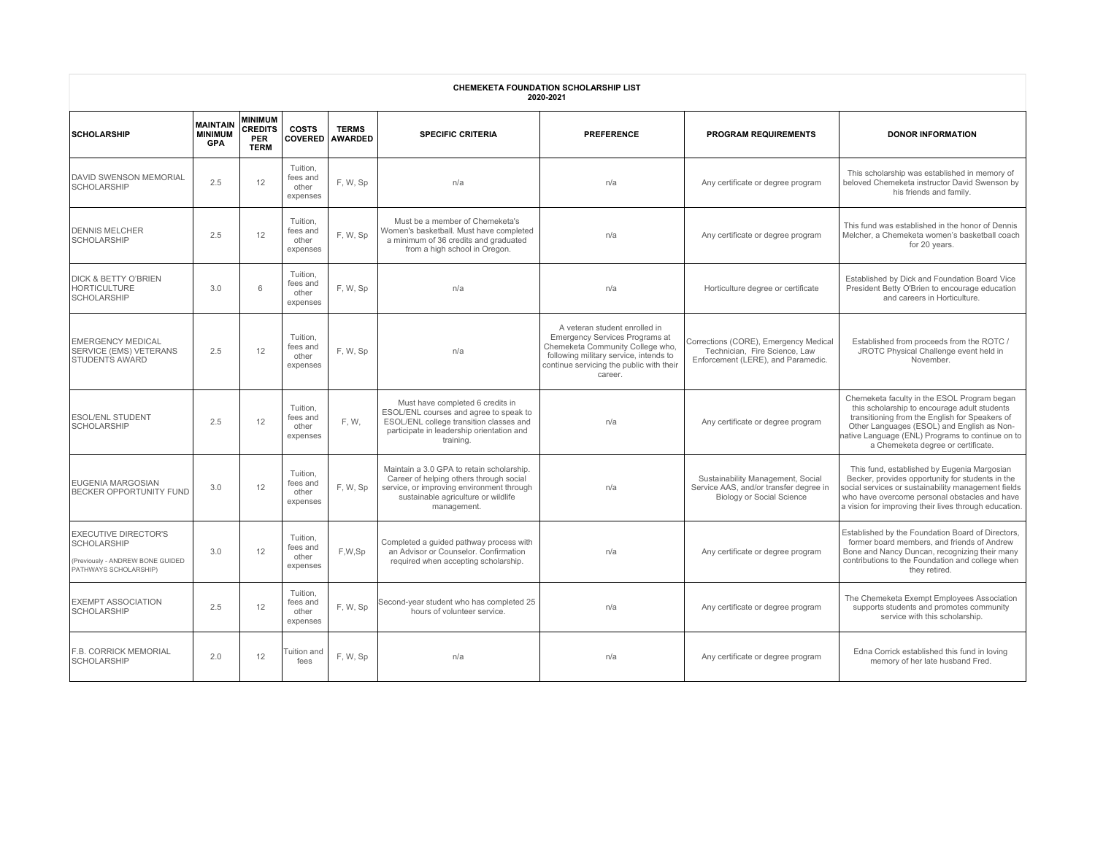| CHEMEKETA FOUNDATION SCHOLARSHIP LIST<br>2020-2021                                                             |                                                 |                                                               |                                           |                                |                                                                                                                                                                                         |                                                                                                                                                                                                      |                                                                                                                 |                                                                                                                                                                                                                                                                                      |  |  |  |
|----------------------------------------------------------------------------------------------------------------|-------------------------------------------------|---------------------------------------------------------------|-------------------------------------------|--------------------------------|-----------------------------------------------------------------------------------------------------------------------------------------------------------------------------------------|------------------------------------------------------------------------------------------------------------------------------------------------------------------------------------------------------|-----------------------------------------------------------------------------------------------------------------|--------------------------------------------------------------------------------------------------------------------------------------------------------------------------------------------------------------------------------------------------------------------------------------|--|--|--|
| <b>SCHOLARSHIP</b>                                                                                             | <b>MAINTAIN</b><br><b>MINIMUM</b><br><b>GPA</b> | <b>MINIMUM</b><br><b>CREDITS</b><br><b>PER</b><br><b>TERM</b> | <b>COSTS</b><br><b>COVERED</b>            | <b>TERMS</b><br><b>AWARDED</b> | <b>SPECIFIC CRITERIA</b>                                                                                                                                                                | <b>PREFERENCE</b>                                                                                                                                                                                    | <b>PROGRAM REQUIREMENTS</b>                                                                                     | <b>DONOR INFORMATION</b>                                                                                                                                                                                                                                                             |  |  |  |
| <b>DAVID SWENSON MEMORIAL</b><br><b>SCHOLARSHIP</b>                                                            | 2.5                                             | 12                                                            | Tuition.<br>fees and<br>other<br>expenses | F, W, Sp                       | n/a                                                                                                                                                                                     | n/a                                                                                                                                                                                                  | Any certificate or degree program                                                                               | This scholarship was established in memory of<br>beloved Chemeketa instructor David Swenson by<br>his friends and family.                                                                                                                                                            |  |  |  |
| <b>DENNIS MELCHER</b><br><b>SCHOLARSHIP</b>                                                                    | 2.5                                             | 12                                                            | Tuition,<br>fees and<br>other<br>expenses | F, W, Sp                       | Must be a member of Chemeketa's<br>Women's basketball. Must have completed<br>a minimum of 36 credits and graduated<br>from a high school in Oregon.                                    | n/a                                                                                                                                                                                                  | Any certificate or degree program                                                                               | This fund was established in the honor of Dennis<br>Melcher, a Chemeketa women's basketball coach<br>for 20 years.                                                                                                                                                                   |  |  |  |
| <b>DICK &amp; BETTY O'BRIEN</b><br><b>HORTICULTURE</b><br><b>SCHOLARSHIP</b>                                   | 3.0                                             | 6                                                             | Tuition.<br>fees and<br>other<br>expenses | F, W, Sp                       | n/a                                                                                                                                                                                     | n/a                                                                                                                                                                                                  | Horticulture degree or certificate                                                                              | Established by Dick and Foundation Board Vice<br>President Betty O'Brien to encourage education<br>and careers in Horticulture.                                                                                                                                                      |  |  |  |
| <b>EMERGENCY MEDICAL</b><br><b>SERVICE (EMS) VETERANS</b><br><b>STUDENTS AWARD</b>                             | 2.5                                             | 12                                                            | Tuition,<br>fees and<br>other<br>expenses | F. W. Sp                       | n/a                                                                                                                                                                                     | A veteran student enrolled in<br>Emergency Services Programs at<br>Chemeketa Community College who,<br>following military service, intends to<br>continue servicing the public with their<br>career. | Corrections (CORE), Emergency Medical<br>Technician. Fire Science, Law<br>Enforcement (LERE), and Paramedic.    | Established from proceeds from the ROTC /<br>JROTC Physical Challenge event held in<br>November.                                                                                                                                                                                     |  |  |  |
| <b>ESOL/ENL STUDENT</b><br><b>SCHOLARSHIP</b>                                                                  | 2.5                                             | 12                                                            | Tuition.<br>fees and<br>other<br>expenses | F, W,                          | Must have completed 6 credits in<br>ESOL/ENL courses and agree to speak to<br>ESOL/ENL college transition classes and<br>participate in leadership orientation and<br>training.         | n/a                                                                                                                                                                                                  | Any certificate or degree program                                                                               | Chemeketa faculty in the ESOL Program began<br>this scholarship to encourage adult students<br>transitioning from the English for Speakers of<br>Other Languages (ESOL) and English as Non-<br>ative Language (ENL) Programs to continue on to<br>a Chemeketa degree or certificate. |  |  |  |
| <b>EUGENIA MARGOSIAN</b><br><b>BECKER OPPORTUNITY FUND</b>                                                     | 3.0                                             | 12                                                            | Tuition.<br>fees and<br>other<br>expenses | F.W, Sp                        | Maintain a 3.0 GPA to retain scholarship.<br>Career of helping others through social<br>service, or improving environment through<br>sustainable agriculture or wildlife<br>management. | n/a                                                                                                                                                                                                  | Sustainability Management, Social<br>Service AAS, and/or transfer degree in<br><b>Biology or Social Science</b> | This fund, established by Eugenia Margosian<br>Becker, provides opportunity for students in the<br>social services or sustainability management fields<br>who have overcome personal obstacles and have<br>a vision for improving their lives through education.                     |  |  |  |
| <b>EXECUTIVE DIRECTOR'S</b><br><b>SCHOLARSHIP</b><br>(Previously - ANDREW BONE GUIDED<br>PATHWAYS SCHOLARSHIP) | 3.0                                             | 12                                                            | Tuition,<br>fees and<br>other<br>expenses | F,W,Sp                         | Completed a quided pathway process with<br>an Advisor or Counselor. Confirmation<br>required when accepting scholarship.                                                                | n/a                                                                                                                                                                                                  | Any certificate or degree program                                                                               | Established by the Foundation Board of Directors,<br>former board members, and friends of Andrew<br>Bone and Nancy Duncan, recognizing their many<br>contributions to the Foundation and college when<br>they retired.                                                               |  |  |  |
| <b>EXEMPT ASSOCIATION</b><br><b>SCHOLARSHIP</b>                                                                | 2.5                                             | 12                                                            | Tuition.<br>fees and<br>other<br>expenses | F, W, Sp                       | Second-year student who has completed 25<br>hours of volunteer service.                                                                                                                 | n/a                                                                                                                                                                                                  | Any certificate or degree program                                                                               | The Chemeketa Exempt Employees Association<br>supports students and promotes community<br>service with this scholarship.                                                                                                                                                             |  |  |  |
| F.B. CORRICK MEMORIAL<br><b>SCHOLARSHIP</b>                                                                    | 2.0                                             | 12                                                            | Tuition and<br>fees                       | F, W, Sp                       | n/a                                                                                                                                                                                     | n/a                                                                                                                                                                                                  | Any certificate or degree program                                                                               | Edna Corrick established this fund in loving<br>memory of her late husband Fred.                                                                                                                                                                                                     |  |  |  |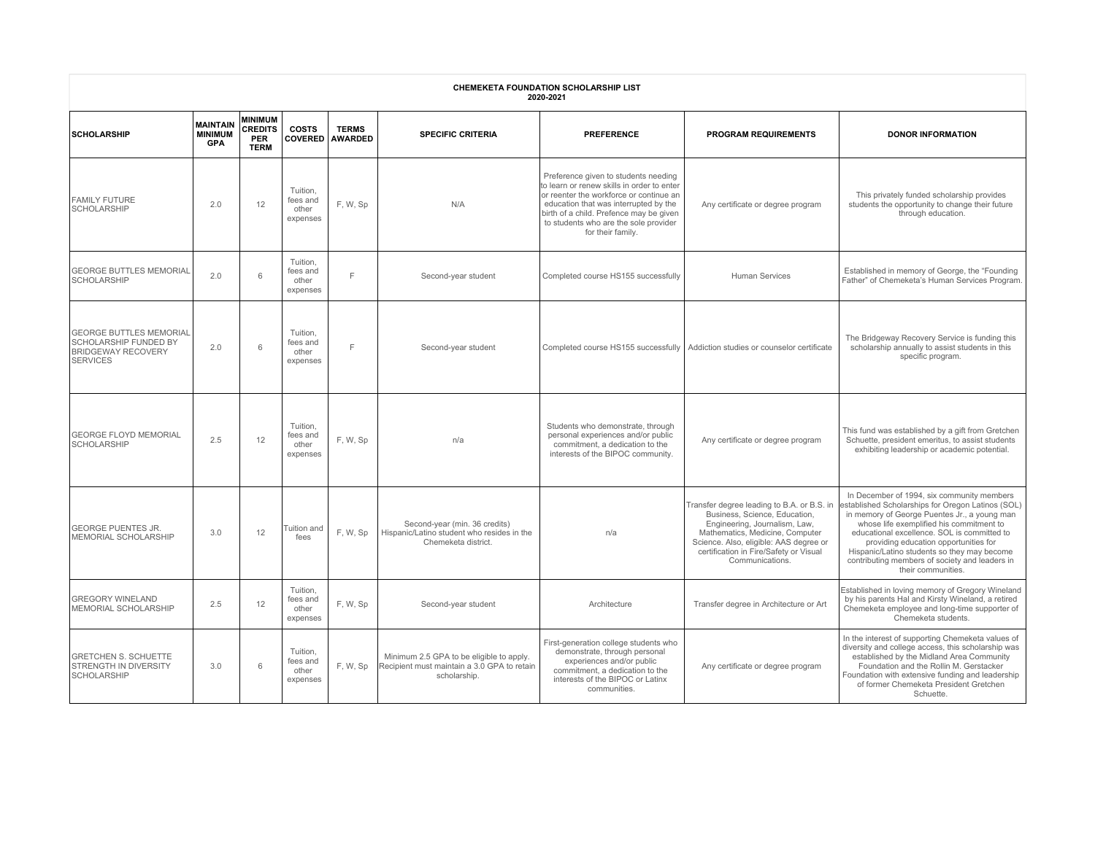| <b>CHEMEKETA FOUNDATION SCHOLARSHIP LIST</b><br>2020-2021                                                      |                                                 |                                                               |                                           |                                |                                                                                                         |                                                                                                                                                                                                                                                                                 |                                                                                                                                                                                                                                                        |                                                                                                                                                                                                                                                                                                                                                                                                            |  |  |  |
|----------------------------------------------------------------------------------------------------------------|-------------------------------------------------|---------------------------------------------------------------|-------------------------------------------|--------------------------------|---------------------------------------------------------------------------------------------------------|---------------------------------------------------------------------------------------------------------------------------------------------------------------------------------------------------------------------------------------------------------------------------------|--------------------------------------------------------------------------------------------------------------------------------------------------------------------------------------------------------------------------------------------------------|------------------------------------------------------------------------------------------------------------------------------------------------------------------------------------------------------------------------------------------------------------------------------------------------------------------------------------------------------------------------------------------------------------|--|--|--|
| <b>SCHOLARSHIP</b>                                                                                             | <b>MAINTAIN</b><br><b>MINIMUM</b><br><b>GPA</b> | <b>MINIMUM</b><br><b>CREDITS</b><br><b>PER</b><br><b>TERM</b> | <b>COSTS</b><br><b>COVERED</b>            | <b>TERMS</b><br><b>AWARDED</b> | <b>SPECIFIC CRITERIA</b>                                                                                | <b>PREFERENCE</b>                                                                                                                                                                                                                                                               | <b>PROGRAM REQUIREMENTS</b>                                                                                                                                                                                                                            | <b>DONOR INFORMATION</b>                                                                                                                                                                                                                                                                                                                                                                                   |  |  |  |
| <b>FAMILY FUTURE</b><br><b>SCHOLARSHIP</b>                                                                     | 2.0                                             | 12                                                            | Tuition,<br>fees and<br>other<br>expenses | F.W, Sp                        | N/A                                                                                                     | Preference given to students needing<br>to learn or renew skills in order to enter<br>or reenter the workforce or continue an<br>education that was interrupted by the<br>birth of a child. Prefence may be given<br>to students who are the sole provider<br>for their family. | Any certificate or degree program                                                                                                                                                                                                                      | This privately funded scholarship provides<br>students the opportunity to change their future<br>through education.                                                                                                                                                                                                                                                                                        |  |  |  |
| <b>GEORGE BUTTLES MEMORIAL</b><br><b>SCHOLARSHIP</b>                                                           | 2.0                                             | 6                                                             | Tuition,<br>fees and<br>other<br>expenses | E                              | Second-year student                                                                                     | Completed course HS155 successfully                                                                                                                                                                                                                                             | <b>Human Services</b>                                                                                                                                                                                                                                  | Established in memory of George, the "Founding"<br>Father" of Chemeketa's Human Services Program.                                                                                                                                                                                                                                                                                                          |  |  |  |
| <b>GEORGE BUTTLES MEMORIAL</b><br><b>SCHOLARSHIP FUNDED BY</b><br><b>BRIDGEWAY RECOVERY</b><br><b>SERVICES</b> | 2.0                                             | 6                                                             | Tuition,<br>fees and<br>other<br>expenses | $\mathsf{F}$                   | Second-year student                                                                                     | Completed course HS155 successfully                                                                                                                                                                                                                                             | Addiction studies or counselor certificate                                                                                                                                                                                                             | The Bridgeway Recovery Service is funding this<br>scholarship annually to assist students in this<br>specific program.                                                                                                                                                                                                                                                                                     |  |  |  |
| <b>GEORGE FLOYD MEMORIAL</b><br><b>SCHOLARSHIP</b>                                                             | 2.5                                             | 12                                                            | Tuition.<br>fees and<br>other<br>expenses | F. W, Sp                       | n/a                                                                                                     | Students who demonstrate, through<br>personal experiences and/or public<br>commitment, a dedication to the<br>interests of the BIPOC community.                                                                                                                                 | Any certificate or degree program                                                                                                                                                                                                                      | This fund was established by a gift from Gretchen<br>Schuette, president emeritus, to assist students<br>exhibiting leadership or academic potential.                                                                                                                                                                                                                                                      |  |  |  |
| <b>IGEORGE PUENTES JR.</b><br>MEMORIAL SCHOLARSHIP                                                             | 3.0                                             | 12                                                            | <b>Tuition and</b><br>fees                | F, W, Sp                       | Second-year (min. 36 credits)<br>Hispanic/Latino student who resides in the<br>Chemeketa district.      | n/a                                                                                                                                                                                                                                                                             | Transfer degree leading to B.A. or B.S. in<br>Business, Science, Education,<br>Engineering, Journalism, Law,<br>Mathematics, Medicine, Computer<br>Science. Also, eligible: AAS degree or<br>certification in Fire/Safety or Visual<br>Communications. | In December of 1994, six community members<br>established Scholarships for Oregon Latinos (SOL)<br>in memory of George Puentes Jr., a young man<br>whose life exemplified his commitment to<br>educational excellence. SOL is committed to<br>providing education opportunities for<br>Hispanic/Latino students so they may become<br>contributing members of society and leaders in<br>their communities. |  |  |  |
| <b>GREGORY WINELAND</b><br>MEMORIAL SCHOLARSHIP                                                                | 2.5                                             | 12                                                            | Tuition,<br>fees and<br>other<br>expenses | F, W, Sp                       | Second-year student                                                                                     | Architecture                                                                                                                                                                                                                                                                    | Transfer degree in Architecture or Art                                                                                                                                                                                                                 | Established in loving memory of Gregory Wineland<br>by his parents Hal and Kirsty Wineland, a retired<br>Chemeketa employee and long-time supporter of<br>Chemeketa students.                                                                                                                                                                                                                              |  |  |  |
| <b>GRETCHEN S. SCHUETTE</b><br><b>STRENGTH IN DIVERSITY</b><br><b>SCHOLARSHIP</b>                              | 3.0                                             | 6                                                             | Tuition.<br>fees and<br>other<br>expenses | F. W, Sp                       | Minimum 2.5 GPA to be eligible to apply.<br>Recipient must maintain a 3.0 GPA to retain<br>scholarship. | First-generation college students who<br>demonstrate, through personal<br>experiences and/or public<br>commitment, a dedication to the<br>interests of the BIPOC or Latinx<br>communities.                                                                                      | Any certificate or degree program                                                                                                                                                                                                                      | In the interest of supporting Chemeketa values of<br>diversity and college access, this scholarship was<br>established by the Midland Area Community<br>Foundation and the Rollin M. Gerstacker<br>Foundation with extensive funding and leadership<br>of former Chemeketa President Gretchen<br>Schuette.                                                                                                 |  |  |  |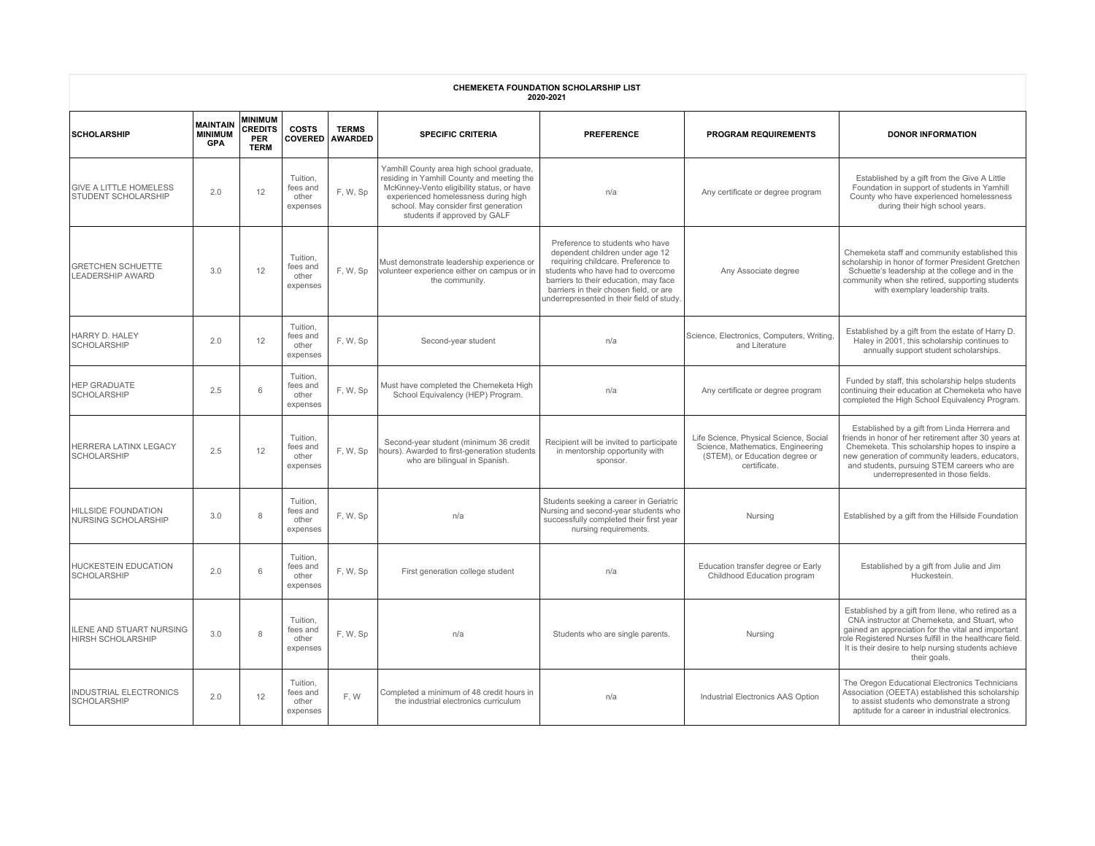| <b>CHEMEKETA FOUNDATION SCHOLARSHIP LIST</b><br>2020-2021 |                                                 |                                                               |                                           |                                |                                                                                                                                                                                                                                                        |                                                                                                                                                                                                                                                                              |                                                                                                                               |                                                                                                                                                                                                                                                                                               |  |  |  |
|-----------------------------------------------------------|-------------------------------------------------|---------------------------------------------------------------|-------------------------------------------|--------------------------------|--------------------------------------------------------------------------------------------------------------------------------------------------------------------------------------------------------------------------------------------------------|------------------------------------------------------------------------------------------------------------------------------------------------------------------------------------------------------------------------------------------------------------------------------|-------------------------------------------------------------------------------------------------------------------------------|-----------------------------------------------------------------------------------------------------------------------------------------------------------------------------------------------------------------------------------------------------------------------------------------------|--|--|--|
| <b>SCHOLARSHIP</b>                                        | <b>MAINTAIN</b><br><b>MINIMUM</b><br><b>GPA</b> | <b>MINIMUM</b><br><b>CREDITS</b><br><b>PER</b><br><b>TERM</b> | <b>COSTS</b><br><b>COVERED</b>            | <b>TERMS</b><br><b>AWARDED</b> | <b>SPECIFIC CRITERIA</b>                                                                                                                                                                                                                               | <b>PREFERENCE</b>                                                                                                                                                                                                                                                            | <b>PROGRAM REQUIREMENTS</b>                                                                                                   | <b>DONOR INFORMATION</b>                                                                                                                                                                                                                                                                      |  |  |  |
| <b>GIVE A LITTLE HOMELESS</b><br>STUDENT SCHOLARSHIP      | 2.0                                             | 12                                                            | Tuition,<br>fees and<br>other<br>expenses | F, W, Sp                       | Yamhill County area high school graduate,<br>residing in Yamhill County and meeting the<br>McKinney-Vento eligibility status, or have<br>experienced homelessness during high<br>school. May consider first generation<br>students if approved by GALF | n/a                                                                                                                                                                                                                                                                          | Any certificate or degree program                                                                                             | Established by a gift from the Give A Little<br>Foundation in support of students in Yamhill<br>County who have experienced homelessness<br>during their high school years.                                                                                                                   |  |  |  |
| <b>GRETCHEN SCHUETTE</b><br><b>LEADERSHIP AWARD</b>       | 3.0                                             | 12                                                            | Tuition.<br>fees and<br>other<br>expenses | F, W, Sp                       | Must demonstrate leadership experience or<br>volunteer experience either on campus or in<br>the community.                                                                                                                                             | Preference to students who have<br>dependent children under age 12<br>requiring childcare. Preference to<br>students who have had to overcome<br>barriers to their education, may face<br>barriers in their chosen field, or are<br>underrepresented in their field of study | Any Associate degree                                                                                                          | Chemeketa staff and community established this<br>scholarship in honor of former President Gretchen<br>Schuette's leadership at the college and in the<br>community when she retired, supporting students<br>with exemplary leadership traits.                                                |  |  |  |
| HARRY D. HALEY<br><b>SCHOLARSHIP</b>                      | 2.0                                             | 12                                                            | Tuition.<br>fees and<br>other<br>expenses | F, W, Sp                       | Second-year student                                                                                                                                                                                                                                    | n/a                                                                                                                                                                                                                                                                          | Science, Electronics, Computers, Writing,<br>and Literature                                                                   | Established by a gift from the estate of Harry D.<br>Haley in 2001, this scholarship continues to<br>annually support student scholarships.                                                                                                                                                   |  |  |  |
| <b>HEP GRADUATE</b><br><b>SCHOLARSHIP</b>                 | 2.5                                             | 6                                                             | Tuition,<br>fees and<br>other<br>expenses | F, W, Sp                       | Must have completed the Chemeketa High<br>School Equivalency (HEP) Program.                                                                                                                                                                            | n/a                                                                                                                                                                                                                                                                          | Any certificate or degree program                                                                                             | Funded by staff, this scholarship helps students<br>continuing their education at Chemeketa who have<br>completed the High School Equivalency Program.                                                                                                                                        |  |  |  |
| HERRERA LATINX LEGACY<br><b>SCHOLARSHIP</b>               | 2.5                                             | 12                                                            | Tuition,<br>fees and<br>other<br>expenses | F, W, Sp                       | Second-year student (minimum 36 credit<br>hours). Awarded to first-generation students<br>who are bilingual in Spanish.                                                                                                                                | Recipient will be invited to participate<br>in mentorship opportunity with<br>sponsor.                                                                                                                                                                                       | Life Science, Physical Science, Social<br>Science, Mathematics, Engineering<br>(STEM), or Education degree or<br>certificate. | Established by a gift from Linda Herrera and<br>friends in honor of her retirement after 30 years at<br>Chemeketa. This scholarship hopes to inspire a<br>new generation of community leaders, educators,<br>and students, pursuing STEM careers who are<br>underrepresented in those fields. |  |  |  |
| <b>HILLSIDE FOUNDATION</b><br><b>NURSING SCHOLARSHIP</b>  | 3.0                                             | 8                                                             | Tuition,<br>fees and<br>other<br>expenses | F, W, Sp                       | n/a                                                                                                                                                                                                                                                    | Students seeking a career in Geriatric<br>Nursing and second-year students who<br>successfully completed their first year<br>nursing requirements.                                                                                                                           | Nursing                                                                                                                       | Established by a gift from the Hillside Foundation                                                                                                                                                                                                                                            |  |  |  |
| <b>HUCKESTEIN EDUCATION</b><br><b>SCHOLARSHIP</b>         | 2.0                                             | 6                                                             | Tuition,<br>fees and<br>other<br>expenses | F, W, Sp                       | First generation college student                                                                                                                                                                                                                       | n/a                                                                                                                                                                                                                                                                          | Education transfer degree or Early<br>Childhood Education program                                                             | Established by a gift from Julie and Jim<br>Huckestein.                                                                                                                                                                                                                                       |  |  |  |
| ILENE AND STUART NURSING<br><b>HIRSH SCHOLARSHIP</b>      | 3.0                                             | 8                                                             | Tuition,<br>fees and<br>other<br>expenses | F, W, Sp                       | n/a                                                                                                                                                                                                                                                    | Students who are single parents.                                                                                                                                                                                                                                             | Nursing                                                                                                                       | Established by a gift from Ilene, who retired as a<br>CNA instructor at Chemeketa, and Stuart, who<br>gained an appreciation for the vital and important<br>ole Registered Nurses fulfill in the healthcare field.<br>It is their desire to help nursing students achieve<br>their goals.     |  |  |  |
| INDUSTRIAL ELECTRONICS<br><b>SCHOLARSHIP</b>              | 2.0                                             | 12                                                            | Tuition,<br>fees and<br>other<br>expenses | F.W                            | Completed a minimum of 48 credit hours in<br>the industrial electronics curriculum                                                                                                                                                                     | n/a                                                                                                                                                                                                                                                                          | Industrial Electronics AAS Option                                                                                             | The Oregon Educational Electronics Technicians<br>Association (OEETA) established this scholarship<br>to assist students who demonstrate a strong<br>aptitude for a career in industrial electronics.                                                                                         |  |  |  |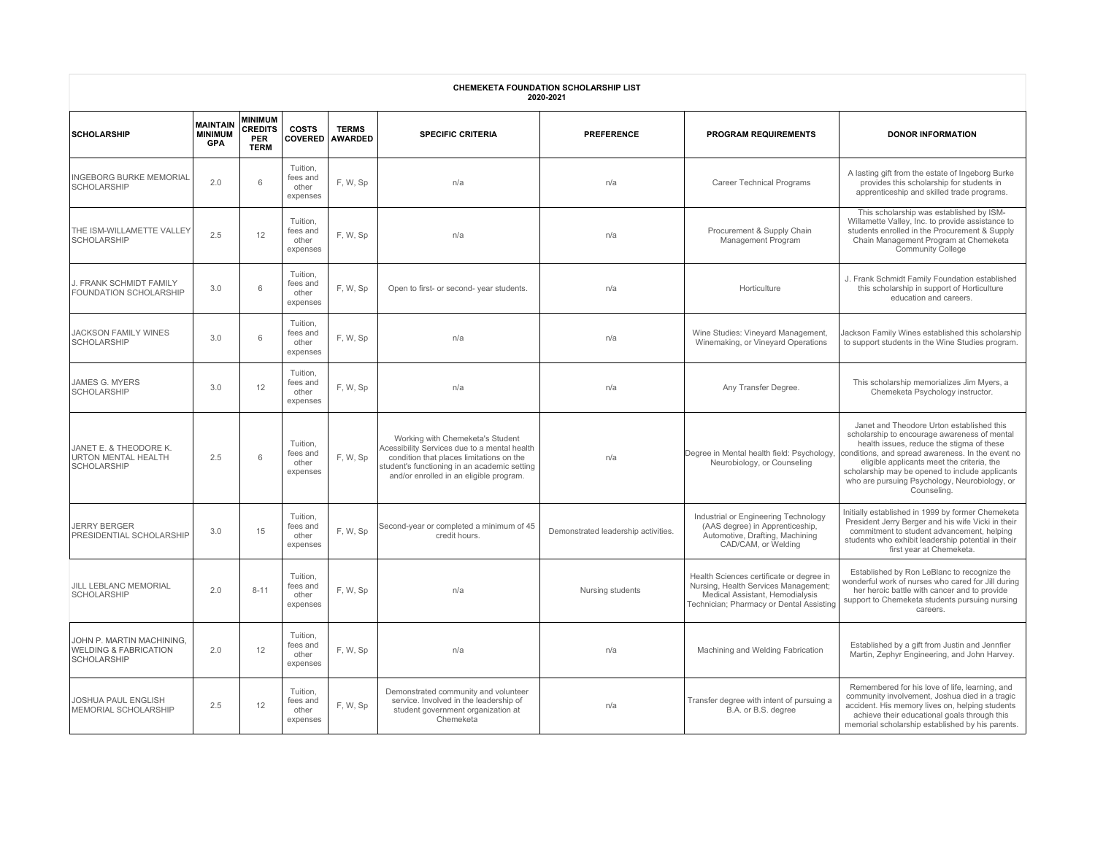| CHEMEKETA FOUNDATION SCHOLARSHIP LIST<br>2020-2021                                  |                                                 |                                                               |                                           |                                |                                                                                                                                                                                                                         |                                     |                                                                                                                                                                 |                                                                                                                                                                                                                                                                                                                                                              |  |  |  |
|-------------------------------------------------------------------------------------|-------------------------------------------------|---------------------------------------------------------------|-------------------------------------------|--------------------------------|-------------------------------------------------------------------------------------------------------------------------------------------------------------------------------------------------------------------------|-------------------------------------|-----------------------------------------------------------------------------------------------------------------------------------------------------------------|--------------------------------------------------------------------------------------------------------------------------------------------------------------------------------------------------------------------------------------------------------------------------------------------------------------------------------------------------------------|--|--|--|
| <b>SCHOLARSHIP</b>                                                                  | <b>MAINTAIN</b><br><b>MINIMUM</b><br><b>GPA</b> | <b>MINIMUM</b><br><b>CREDITS</b><br><b>PER</b><br><b>TERM</b> | <b>COSTS</b><br><b>COVERED</b>            | <b>TERMS</b><br><b>AWARDED</b> | <b>SPECIFIC CRITERIA</b>                                                                                                                                                                                                | <b>PREFERENCE</b>                   | <b>PROGRAM REQUIREMENTS</b>                                                                                                                                     | <b>DONOR INFORMATION</b>                                                                                                                                                                                                                                                                                                                                     |  |  |  |
| <b>INGEBORG BURKE MEMORIAL</b><br><b>SCHOLARSHIP</b>                                | 2.0                                             | 6                                                             | Tuition,<br>fees and<br>other<br>expenses | F, W, Sp                       | n/a                                                                                                                                                                                                                     | n/a                                 | <b>Career Technical Programs</b>                                                                                                                                | A lasting gift from the estate of Ingeborg Burke<br>provides this scholarship for students in<br>apprenticeship and skilled trade programs.                                                                                                                                                                                                                  |  |  |  |
| THE ISM-WILLAMETTE VALLEY<br><b>SCHOLARSHIP</b>                                     | 2.5                                             | 12                                                            | Tuition,<br>fees and<br>other<br>expenses | F, W, Sp                       | n/a                                                                                                                                                                                                                     | n/a                                 | Procurement & Supply Chain<br>Management Program                                                                                                                | This scholarship was established by ISM-<br>Willamette Valley, Inc. to provide assistance to<br>students enrolled in the Procurement & Supply<br>Chain Management Program at Chemeketa<br><b>Community College</b>                                                                                                                                           |  |  |  |
| J. FRANK SCHMIDT FAMILY<br>FOUNDATION SCHOLARSHIP                                   | 3.0                                             | 6                                                             | Tuition.<br>fees and<br>other<br>expenses | F, W, Sp                       | Open to first- or second- year students.                                                                                                                                                                                | n/a                                 | Horticulture                                                                                                                                                    | J. Frank Schmidt Family Foundation established<br>this scholarship in support of Horticulture<br>education and careers.                                                                                                                                                                                                                                      |  |  |  |
| <b>JACKSON FAMILY WINES</b><br><b>SCHOLARSHIP</b>                                   | 3.0                                             | 6                                                             | Tuition.<br>fees and<br>other<br>expenses | F, W, Sp                       | n/a                                                                                                                                                                                                                     | n/a                                 | Wine Studies: Vineyard Management,<br>Winemaking, or Vineyard Operations                                                                                        | Jackson Family Wines established this scholarship<br>to support students in the Wine Studies program.                                                                                                                                                                                                                                                        |  |  |  |
| JAMES G. MYERS<br>SCHOLARSHIP                                                       | 3.0                                             | 12                                                            | Tuition,<br>fees and<br>other<br>expenses | F, W, Sp                       | n/a                                                                                                                                                                                                                     | n/a                                 | Any Transfer Degree.                                                                                                                                            | This scholarship memorializes Jim Myers, a<br>Chemeketa Psychology instructor.                                                                                                                                                                                                                                                                               |  |  |  |
| JANET E. & THEODORE K.<br><b>URTON MENTAL HEALTH</b><br>SCHOLARSHIP                 | 2.5                                             | 6                                                             | Tuition.<br>fees and<br>other<br>expenses | F. W, Sp                       | Working with Chemeketa's Student<br>Acessibility Services due to a mental health<br>condition that places limitations on the<br>student's functioning in an academic setting<br>and/or enrolled in an eligible program. | n/a                                 | Degree in Mental health field: Psychology,<br>Neurobiology, or Counseling                                                                                       | Janet and Theodore Urton established this<br>scholarship to encourage awareness of mental<br>health issues, reduce the stigma of these<br>conditions, and spread awareness. In the event no<br>eligible applicants meet the criteria, the<br>scholarship may be opened to include applicants<br>who are pursuing Psychology, Neurobiology, or<br>Counseling. |  |  |  |
| <b>JERRY BERGER</b><br>PRESIDENTIAL SCHOLARSHIP                                     | 3.0                                             | 15                                                            | Tuition,<br>fees and<br>other<br>expenses | F, W, Sp                       | Second-year or completed a minimum of 45<br>credit hours.                                                                                                                                                               | Demonstrated leadership activities. | Industrial or Engineering Technology<br>(AAS degree) in Apprenticeship,<br>Automotive, Drafting, Machining<br>CAD/CAM, or Welding                               | Initially established in 1999 by former Chemeketa<br>President Jerry Berger and his wife Vicki in their<br>commitment to student advancement, helping<br>students who exhibit leadership potential in their<br>first year at Chemeketa.                                                                                                                      |  |  |  |
| JILL LEBLANC MEMORIAL<br><b>SCHOLARSHIP</b>                                         | 2.0                                             | $8 - 11$                                                      | Tuition,<br>fees and<br>other<br>expenses | F, W, Sp                       | n/a                                                                                                                                                                                                                     | Nursing students                    | Health Sciences certificate or degree in<br>Nursing, Health Services Management;<br>Medical Assistant, Hemodialysis<br>Technician; Pharmacy or Dental Assisting | Established by Ron LeBlanc to recognize the<br>wonderful work of nurses who cared for Jill during<br>her heroic battle with cancer and to provide<br>support to Chemeketa students pursuing nursing<br>careers.                                                                                                                                              |  |  |  |
| JOHN P. MARTIN MACHINING,<br><b>WELDING &amp; FABRICATION</b><br><b>SCHOLARSHIP</b> | 2.0                                             | 12                                                            | Tuition,<br>fees and<br>other<br>expenses | F, W, Sp                       | n/a                                                                                                                                                                                                                     | n/a                                 | Machining and Welding Fabrication                                                                                                                               | Established by a gift from Justin and Jennfier<br>Martin, Zephyr Engineering, and John Harvey.                                                                                                                                                                                                                                                               |  |  |  |
| <b>JOSHUA PAUL ENGLISH</b><br>MEMORIAL SCHOLARSHIP                                  | 2.5                                             | 12                                                            | Tuition,<br>fees and<br>other<br>expenses | F. W, Sp                       | Demonstrated community and volunteer<br>service. Involved in the leadership of<br>student government organization at<br>Chemeketa                                                                                       | n/a                                 | Transfer degree with intent of pursuing a<br>B.A. or B.S. degree                                                                                                | Remembered for his love of life, learning, and<br>community involvement, Joshua died in a tragic<br>accident. His memory lives on, helping students<br>achieve their educational goals through this<br>memorial scholarship established by his parents.                                                                                                      |  |  |  |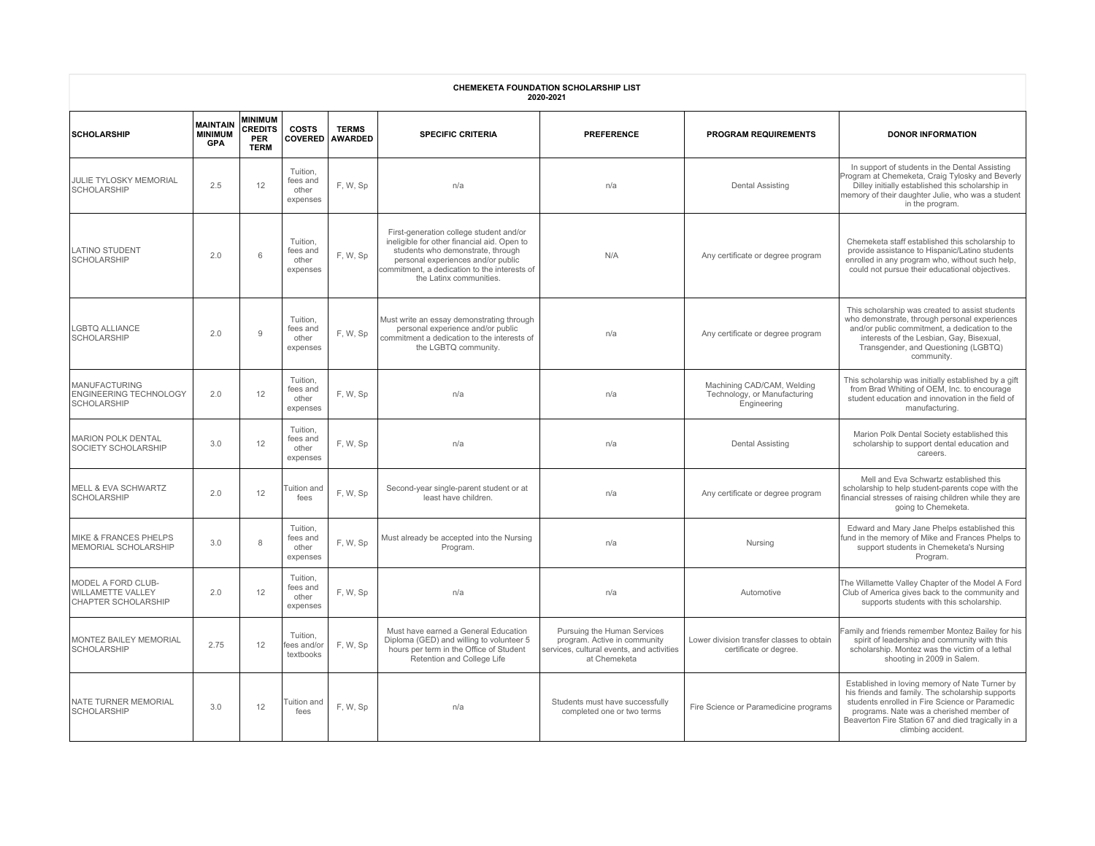| <b>CHEMEKETA FOUNDATION SCHOLARSHIP LIST</b><br>2020-2021                    |                                                 |                                                               |                                           |                                |                                                                                                                                                                                                                                              |                                                                                                                          |                                                                           |                                                                                                                                                                                                                                                                              |  |  |  |
|------------------------------------------------------------------------------|-------------------------------------------------|---------------------------------------------------------------|-------------------------------------------|--------------------------------|----------------------------------------------------------------------------------------------------------------------------------------------------------------------------------------------------------------------------------------------|--------------------------------------------------------------------------------------------------------------------------|---------------------------------------------------------------------------|------------------------------------------------------------------------------------------------------------------------------------------------------------------------------------------------------------------------------------------------------------------------------|--|--|--|
| <b>SCHOLARSHIP</b>                                                           | <b>MAINTAIN</b><br><b>MINIMUM</b><br><b>GPA</b> | <b>MINIMUM</b><br><b>CREDITS</b><br><b>PER</b><br><b>TERM</b> | <b>COSTS</b><br><b>COVERED</b>            | <b>TERMS</b><br><b>AWARDED</b> | <b>SPECIFIC CRITERIA</b>                                                                                                                                                                                                                     | <b>PREFERENCE</b>                                                                                                        | <b>PROGRAM REQUIREMENTS</b>                                               | <b>DONOR INFORMATION</b>                                                                                                                                                                                                                                                     |  |  |  |
| <b>JULIE TYLOSKY MEMORIAL</b><br><b>SCHOLARSHIP</b>                          | 2.5                                             | 12                                                            | Tuition,<br>fees and<br>other<br>expenses | F, W, Sp                       | n/a                                                                                                                                                                                                                                          | n/a                                                                                                                      | <b>Dental Assisting</b>                                                   | In support of students in the Dental Assisting<br>Program at Chemeketa, Craig Tylosky and Beverly<br>Dilley initially established this scholarship in<br>nemory of their daughter Julie, who was a student<br>in the program.                                                |  |  |  |
| <b>LATINO STUDENT</b><br><b>SCHOLARSHIP</b>                                  | 2.0                                             | 6                                                             | Tuition,<br>fees and<br>other<br>expenses | F. W, Sp                       | First-generation college student and/or<br>ineligible for other financial aid. Open to<br>students who demonstrate, through<br>personal experiences and/or public<br>commitment, a dedication to the interests of<br>the Latinx communities. | N/A                                                                                                                      | Any certificate or degree program                                         | Chemeketa staff established this scholarship to<br>provide assistance to Hispanic/Latino students<br>enrolled in any program who, without such help,<br>could not pursue their educational objectives.                                                                       |  |  |  |
| <b>LGBTQ ALLIANCE</b><br>SCHOLARSHIP                                         | 2.0                                             | $\mathbf{Q}$                                                  | Tuition,<br>fees and<br>other<br>expenses | F. W, Sp                       | Must write an essay demonstrating through<br>personal experience and/or public<br>commitment a dedication to the interests of<br>the LGBTQ community.                                                                                        | n/a                                                                                                                      | Any certificate or degree program                                         | This scholarship was created to assist students<br>who demonstrate, through personal experiences<br>and/or public commitment, a dedication to the<br>interests of the Lesbian, Gay, Bisexual,<br>Transgender, and Questioning (LGBTQ)<br>community.                          |  |  |  |
| <b>MANUFACTURING</b><br><b>ENGINEERING TECHNOLOGY</b><br><b>SCHOLARSHIP</b>  | 2.0                                             | 12                                                            | Tuition,<br>fees and<br>other<br>expenses | F, W, Sp                       | n/a                                                                                                                                                                                                                                          | n/a                                                                                                                      | Machining CAD/CAM, Welding<br>Technology, or Manufacturing<br>Engineering | This scholarship was initially established by a gift<br>from Brad Whiting of OEM, Inc. to encourage<br>student education and innovation in the field of<br>manufacturing.                                                                                                    |  |  |  |
| <b>MARION POLK DENTAL</b><br>SOCIETY SCHOLARSHIP                             | 3.0                                             | 12                                                            | Tuition,<br>fees and<br>other<br>expenses | F, W, Sp                       | n/a                                                                                                                                                                                                                                          | n/a                                                                                                                      | <b>Dental Assisting</b>                                                   | Marion Polk Dental Society established this<br>scholarship to support dental education and<br>careers.                                                                                                                                                                       |  |  |  |
| <b>MELL &amp; EVA SCHWARTZ</b><br><b>SCHOLARSHIP</b>                         | 2.0                                             | 12                                                            | Tuition and<br>fees                       | F, W, Sp                       | Second-year single-parent student or at<br>least have children.                                                                                                                                                                              | n/a                                                                                                                      | Any certificate or degree program                                         | Mell and Eva Schwartz established this<br>scholarship to help student-parents cope with the<br>inancial stresses of raising children while they are<br>going to Chemeketa.                                                                                                   |  |  |  |
| <b>MIKE &amp; FRANCES PHELPS</b><br>MEMORIAL SCHOLARSHIP                     | 3.0                                             | 8                                                             | Tuition.<br>fees and<br>other<br>expenses | F, W, Sp                       | Must already be accepted into the Nursing<br>Program.                                                                                                                                                                                        | n/a                                                                                                                      | Nursing                                                                   | Edward and Mary Jane Phelps established this<br>fund in the memory of Mike and Frances Phelps to<br>support students in Chemeketa's Nursing<br>Program.                                                                                                                      |  |  |  |
| MODEL A FORD CLUB-<br><b>WILLAMETTE VALLEY</b><br><b>CHAPTER SCHOLARSHIP</b> | 2.0                                             | 12                                                            | Tuition,<br>fees and<br>other<br>expenses | F, W, Sp                       | n/a                                                                                                                                                                                                                                          | n/a                                                                                                                      | Automotive                                                                | The Willamette Valley Chapter of the Model A Ford<br>Club of America gives back to the community and<br>supports students with this scholarship.                                                                                                                             |  |  |  |
| MONTEZ BAILEY MEMORIAL<br><b>SCHOLARSHIP</b>                                 | 2.75                                            | 12                                                            | Tuition.<br>fees and/or<br>textbooks      | F, W, Sp                       | Must have earned a General Education<br>Diploma (GED) and willing to volunteer 5<br>hours per term in the Office of Student<br>Retention and College Life                                                                                    | Pursuing the Human Services<br>program. Active in community<br>services, cultural events, and activities<br>at Chemeketa | Lower division transfer classes to obtain<br>certificate or degree.       | amily and friends remember Montez Bailey for his<br>spirit of leadership and community with this<br>scholarship. Montez was the victim of a lethal<br>shooting in 2009 in Salem.                                                                                             |  |  |  |
| <b>NATE TURNER MEMORIAL</b><br><b>SCHOLARSHIP</b>                            | 3.0                                             | 12                                                            | Tuition and<br>fees                       | F, W, Sp                       | n/a                                                                                                                                                                                                                                          | Students must have successfully<br>completed one or two terms                                                            | Fire Science or Paramedicine programs                                     | Established in loving memory of Nate Turner by<br>his friends and family. The scholarship supports<br>students enrolled in Fire Science or Paramedic<br>programs. Nate was a cherished member of<br>Beaverton Fire Station 67 and died tragically in a<br>climbing accident. |  |  |  |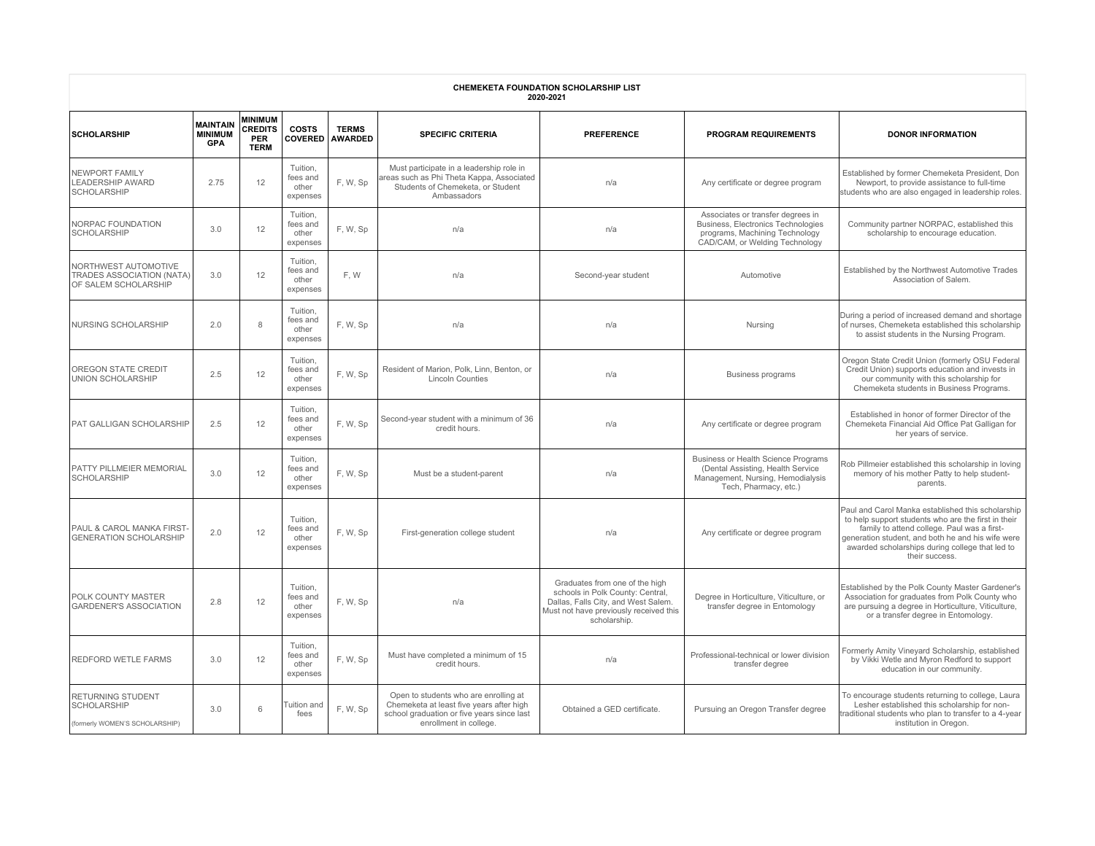| <b>CHEMEKETA FOUNDATION SCHOLARSHIP LIST</b><br>2020-2021                 |                                                 |                                                               |                                           |                                |                                                                                                                                                           |                                                                                                                                                                     |                                                                                                                                                |                                                                                                                                                                                                                                                                                   |  |  |  |
|---------------------------------------------------------------------------|-------------------------------------------------|---------------------------------------------------------------|-------------------------------------------|--------------------------------|-----------------------------------------------------------------------------------------------------------------------------------------------------------|---------------------------------------------------------------------------------------------------------------------------------------------------------------------|------------------------------------------------------------------------------------------------------------------------------------------------|-----------------------------------------------------------------------------------------------------------------------------------------------------------------------------------------------------------------------------------------------------------------------------------|--|--|--|
| <b>SCHOLARSHIP</b>                                                        | <b>MAINTAIN</b><br><b>MINIMUM</b><br><b>GPA</b> | <b>MINIMUM</b><br><b>CREDITS</b><br><b>PER</b><br><b>TERM</b> | <b>COSTS</b><br><b>COVERED</b>            | <b>TERMS</b><br><b>AWARDED</b> | <b>SPECIFIC CRITERIA</b>                                                                                                                                  | <b>PREFERENCE</b>                                                                                                                                                   | <b>PROGRAM REQUIREMENTS</b>                                                                                                                    | <b>DONOR INFORMATION</b>                                                                                                                                                                                                                                                          |  |  |  |
| NEWPORT FAMILY<br>LEADERSHIP AWARD<br>SCHOLARSHIP                         | 2.75                                            | 12                                                            | Tuition,<br>fees and<br>other<br>expenses | F, W, Sp                       | Must participate in a leadership role in<br>reas such as Phi Theta Kappa, Associated<br>Students of Chemeketa, or Student<br>Ambassadors                  | n/a                                                                                                                                                                 | Any certificate or degree program                                                                                                              | Established by former Chemeketa President, Don<br>Newport, to provide assistance to full-time<br>students who are also engaged in leadership roles.                                                                                                                               |  |  |  |
| NORPAC FOUNDATION<br><b>SCHOLARSHIP</b>                                   | 3.0                                             | 12                                                            | Tuition.<br>fees and<br>other<br>expenses | F, W, Sp                       | n/a                                                                                                                                                       | n/a                                                                                                                                                                 | Associates or transfer degrees in<br>Business, Electronics Technologies<br>programs, Machining Technology<br>CAD/CAM, or Welding Technology    | Community partner NORPAC, established this<br>scholarship to encourage education.                                                                                                                                                                                                 |  |  |  |
| NORTHWEST AUTOMOTIVE<br>TRADES ASSOCIATION (NATA)<br>OF SALEM SCHOLARSHIP | 3.0                                             | 12                                                            | Tuition,<br>fees and<br>other<br>expenses | F, W                           | n/a                                                                                                                                                       | Second-year student                                                                                                                                                 | Automotive                                                                                                                                     | Established by the Northwest Automotive Trades<br>Association of Salem.                                                                                                                                                                                                           |  |  |  |
| NURSING SCHOLARSHIP                                                       | 2.0                                             | 8                                                             | Tuition.<br>fees and<br>other<br>expenses | F, W, Sp                       | n/a                                                                                                                                                       | n/a                                                                                                                                                                 | Nursing                                                                                                                                        | During a period of increased demand and shortage<br>of nurses, Chemeketa established this scholarship<br>to assist students in the Nursing Program.                                                                                                                               |  |  |  |
| OREGON STATE CREDIT<br>UNION SCHOLARSHIP                                  | 2.5                                             | 12                                                            | Tuition.<br>fees and<br>other<br>expenses | F, W, Sp                       | Resident of Marion, Polk, Linn, Benton, or<br><b>Lincoln Counties</b>                                                                                     | n/a                                                                                                                                                                 | <b>Business programs</b>                                                                                                                       | Oregon State Credit Union (formerly OSU Federal<br>Credit Union) supports education and invests in<br>our community with this scholarship for<br>Chemeketa students in Business Programs.                                                                                         |  |  |  |
| <b>PAT GALLIGAN SCHOLARSHIP</b>                                           | 2.5                                             | 12                                                            | Tuition,<br>fees and<br>other<br>expenses | F, W, Sp                       | Second-year student with a minimum of 36<br>credit hours.                                                                                                 | n/a                                                                                                                                                                 | Any certificate or degree program                                                                                                              | Established in honor of former Director of the<br>Chemeketa Financial Aid Office Pat Galligan for<br>her years of service.                                                                                                                                                        |  |  |  |
| <b>PATTY PILLMEIER MEMORIAL</b><br><b>SCHOLARSHIP</b>                     | 3.0                                             | 12                                                            | Tuition,<br>fees and<br>other<br>expenses | F, W, Sp                       | Must be a student-parent                                                                                                                                  | n/a                                                                                                                                                                 | <b>Business or Health Science Programs</b><br>(Dental Assisting, Health Service)<br>Management, Nursing, Hemodialysis<br>Tech, Pharmacy, etc.) | Rob Pillmeier established this scholarship in loving<br>memory of his mother Patty to help student-<br>parents.                                                                                                                                                                   |  |  |  |
| PAUL & CAROL MANKA FIRST<br><b>GENERATION SCHOLARSHIP</b>                 | 2.0                                             | 12                                                            | Tuition,<br>fees and<br>other<br>expenses | F, W, Sp                       | First-generation college student                                                                                                                          | n/a                                                                                                                                                                 | Any certificate or degree program                                                                                                              | Paul and Carol Manka established this scholarship<br>to help support students who are the first in their<br>family to attend college. Paul was a first-<br>generation student, and both he and his wife were<br>awarded scholarships during college that led to<br>their success. |  |  |  |
| <b>POLK COUNTY MASTER</b><br><b>GARDENER'S ASSOCIATION</b>                | 2.8                                             | 12                                                            | Tuition,<br>fees and<br>other<br>expenses | F, W, Sp                       | n/a                                                                                                                                                       | Graduates from one of the high<br>schools in Polk County: Central,<br>Dallas, Falls City, and West Salem.<br>Must not have previously received this<br>scholarship. | Degree in Horticulture, Viticulture, or<br>transfer degree in Entomology                                                                       | Established by the Polk County Master Gardener's<br>Association for graduates from Polk County who<br>are pursuing a degree in Horticulture, Viticulture,<br>or a transfer degree in Entomology.                                                                                  |  |  |  |
| REDFORD WETLE FARMS                                                       | 3.0                                             | 12                                                            | Tuition,<br>fees and<br>other<br>expenses | F, W, Sp                       | Must have completed a minimum of 15<br>credit hours.                                                                                                      | n/a                                                                                                                                                                 | Professional-technical or lower division<br>transfer degree                                                                                    | Formerly Amity Vineyard Scholarship, established<br>by Vikki Wetle and Myron Redford to support<br>education in our community.                                                                                                                                                    |  |  |  |
| RETURNING STUDENT<br><b>SCHOLARSHIP</b><br>(formerly WOMEN'S SCHOLARSHIP) | 3.0                                             | 6                                                             | Tuition and<br>fees                       | F, W, Sp                       | Open to students who are enrolling at<br>Chemeketa at least five years after high<br>school graduation or five years since last<br>enrollment in college. | Obtained a GED certificate.                                                                                                                                         | Pursuing an Oregon Transfer degree                                                                                                             | To encourage students returning to college, Laura<br>Lesher established this scholarship for non-<br>raditional students who plan to transfer to a 4-year<br>institution in Oregon.                                                                                               |  |  |  |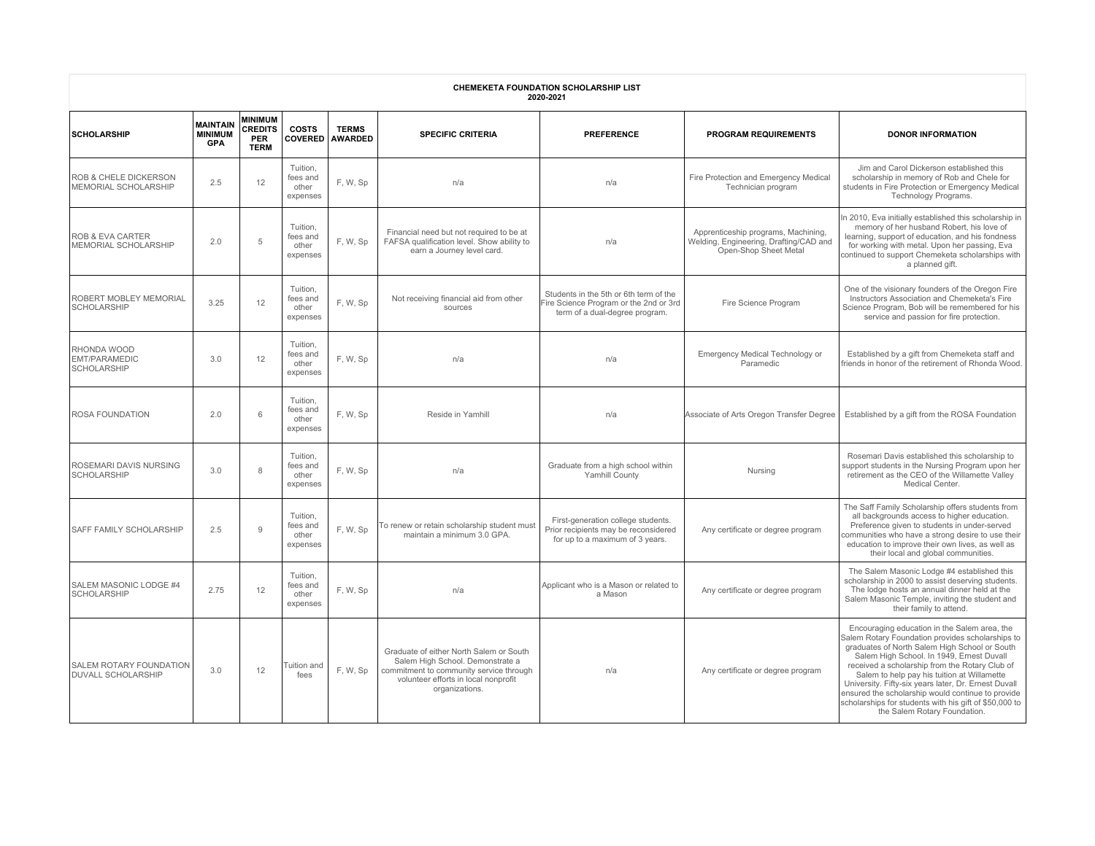| <b>CHEMEKETA FOUNDATION SCHOLARSHIP LIST</b><br>2020-2021   |                                                 |                                                        |                                           |                                |                                                                                                                                                                                  |                                                                                                                    |                                                                                                        |                                                                                                                                                                                                                                                                                                                                                                                                                                                                                                        |  |  |  |
|-------------------------------------------------------------|-------------------------------------------------|--------------------------------------------------------|-------------------------------------------|--------------------------------|----------------------------------------------------------------------------------------------------------------------------------------------------------------------------------|--------------------------------------------------------------------------------------------------------------------|--------------------------------------------------------------------------------------------------------|--------------------------------------------------------------------------------------------------------------------------------------------------------------------------------------------------------------------------------------------------------------------------------------------------------------------------------------------------------------------------------------------------------------------------------------------------------------------------------------------------------|--|--|--|
| <b>SCHOLARSHIP</b>                                          | <b>MAINTAIN</b><br><b>MINIMUM</b><br><b>GPA</b> | <b>MINIMUM</b><br><b>CREDITS</b><br>PER<br><b>TERM</b> | <b>COSTS</b><br><b>COVERED</b>            | <b>TERMS</b><br><b>AWARDED</b> | <b>SPECIFIC CRITERIA</b>                                                                                                                                                         | <b>PREFERENCE</b>                                                                                                  | <b>PROGRAM REQUIREMENTS</b>                                                                            | <b>DONOR INFORMATION</b>                                                                                                                                                                                                                                                                                                                                                                                                                                                                               |  |  |  |
| <b>ROB &amp; CHELE DICKERSON</b><br>MEMORIAL SCHOLARSHIP    | 2.5                                             | 12                                                     | Tuition.<br>fees and<br>other<br>expenses | F, W, Sp                       | n/a                                                                                                                                                                              | n/a                                                                                                                | Fire Protection and Emergency Medical<br>Technician program                                            | Jim and Carol Dickerson established this<br>scholarship in memory of Rob and Chele for<br>students in Fire Protection or Emergency Medical<br>Technology Programs.                                                                                                                                                                                                                                                                                                                                     |  |  |  |
| <b>ROB &amp; EVA CARTER</b><br>MEMORIAL SCHOLARSHIP         | 2.0                                             | 5                                                      | Tuition,<br>fees and<br>other<br>expenses | F, W, Sp                       | Financial need but not required to be at<br>FAFSA qualification level. Show ability to<br>earn a Journey level card.                                                             | n/a                                                                                                                | Apprenticeship programs, Machining,<br>Welding, Engineering, Drafting/CAD and<br>Open-Shop Sheet Metal | n 2010, Eva initially established this scholarship in<br>memory of her husband Robert, his love of<br>learning, support of education, and his fondness<br>for working with metal. Upon her passing, Eva<br>continued to support Chemeketa scholarships with<br>a planned gift.                                                                                                                                                                                                                         |  |  |  |
| <b>ROBERT MOBLEY MEMORIAL</b><br><b>SCHOLARSHIP</b>         | 3.25                                            | 12                                                     | Tuition.<br>fees and<br>other<br>expenses | F.W.Sp                         | Not receiving financial aid from other<br>sources                                                                                                                                | Students in the 5th or 6th term of the<br>Fire Science Program or the 2nd or 3rd<br>term of a dual-degree program. | Fire Science Program                                                                                   | One of the visionary founders of the Oregon Fire<br>Instructors Association and Chemeketa's Fire<br>Science Program, Bob will be remembered for his<br>service and passion for fire protection.                                                                                                                                                                                                                                                                                                        |  |  |  |
| <b>RHONDA WOOD</b><br>EMT/PARAMEDIC<br><b>SCHOLARSHIP</b>   | 3.0                                             | 12                                                     | Tuition,<br>fees and<br>other<br>expenses | F, W, Sp                       | n/a                                                                                                                                                                              | n/a                                                                                                                | Emergency Medical Technology or<br>Paramedic                                                           | Established by a gift from Chemeketa staff and<br>friends in honor of the retirement of Rhonda Wood.                                                                                                                                                                                                                                                                                                                                                                                                   |  |  |  |
| <b>ROSA FOUNDATION</b>                                      | 2.0                                             | 6                                                      | Tuition,<br>fees and<br>other<br>expenses | F.W.Sp                         | Reside in Yamhill                                                                                                                                                                | n/a                                                                                                                | Associate of Arts Oregon Transfer Degree                                                               | Established by a gift from the ROSA Foundation                                                                                                                                                                                                                                                                                                                                                                                                                                                         |  |  |  |
| <b>ROSEMARI DAVIS NURSING</b><br>SCHOLARSHIP                | 3.0                                             | 8                                                      | Tuition.<br>fees and<br>other<br>expenses | F, W, Sp                       | n/a                                                                                                                                                                              | Graduate from a high school within<br>Yamhill County                                                               | Nursing                                                                                                | Rosemari Davis established this scholarship to<br>support students in the Nursing Program upon her<br>retirement as the CEO of the Willamette Valley<br>Medical Center.                                                                                                                                                                                                                                                                                                                                |  |  |  |
| <b>SAFF FAMILY SCHOLARSHIP</b>                              | 2.5                                             | 9                                                      | Tuition.<br>fees and<br>other<br>expenses | F. W, Sp                       | To renew or retain scholarship student must<br>maintain a minimum 3.0 GPA.                                                                                                       | First-generation college students.<br>Prior recipients may be reconsidered<br>for up to a maximum of 3 years.      | Any certificate or degree program                                                                      | The Saff Family Scholarship offers students from<br>all backgrounds access to higher education.<br>Preference given to students in under-served<br>communities who have a strong desire to use their<br>education to improve their own lives, as well as<br>their local and global communities                                                                                                                                                                                                         |  |  |  |
| SALEM MASONIC LODGE #4<br><b>SCHOLARSHIP</b>                | 2.75                                            | 12                                                     | Tuition.<br>fees and<br>other<br>expenses | F, W, Sp                       | n/a                                                                                                                                                                              | Applicant who is a Mason or related to<br>a Mason                                                                  | Any certificate or degree program                                                                      | The Salem Masonic Lodge #4 established this<br>scholarship in 2000 to assist deserving students.<br>The lodge hosts an annual dinner held at the<br>Salem Masonic Temple, inviting the student and<br>their family to attend.                                                                                                                                                                                                                                                                          |  |  |  |
| <b>SALEM ROTARY FOUNDATION</b><br><b>DUVALL SCHOLARSHIP</b> | 3.0                                             | 12                                                     | Tuition and<br>fees                       | F. W, Sp                       | Graduate of either North Salem or South<br>Salem High School. Demonstrate a<br>commitment to community service through<br>volunteer efforts in local nonprofit<br>organizations. | n/a                                                                                                                | Any certificate or degree program                                                                      | Encouraging education in the Salem area, the<br>Salem Rotary Foundation provides scholarships to<br>graduates of North Salem High School or South<br>Salem High School. In 1949, Ernest Duvall<br>received a scholarship from the Rotary Club of<br>Salem to help pay his tuition at Willamette<br>University. Fifty-six years later, Dr. Ernest Duvall<br>ensured the scholarship would continue to provide<br>scholarships for students with his gift of \$50,000 to<br>the Salem Rotary Foundation. |  |  |  |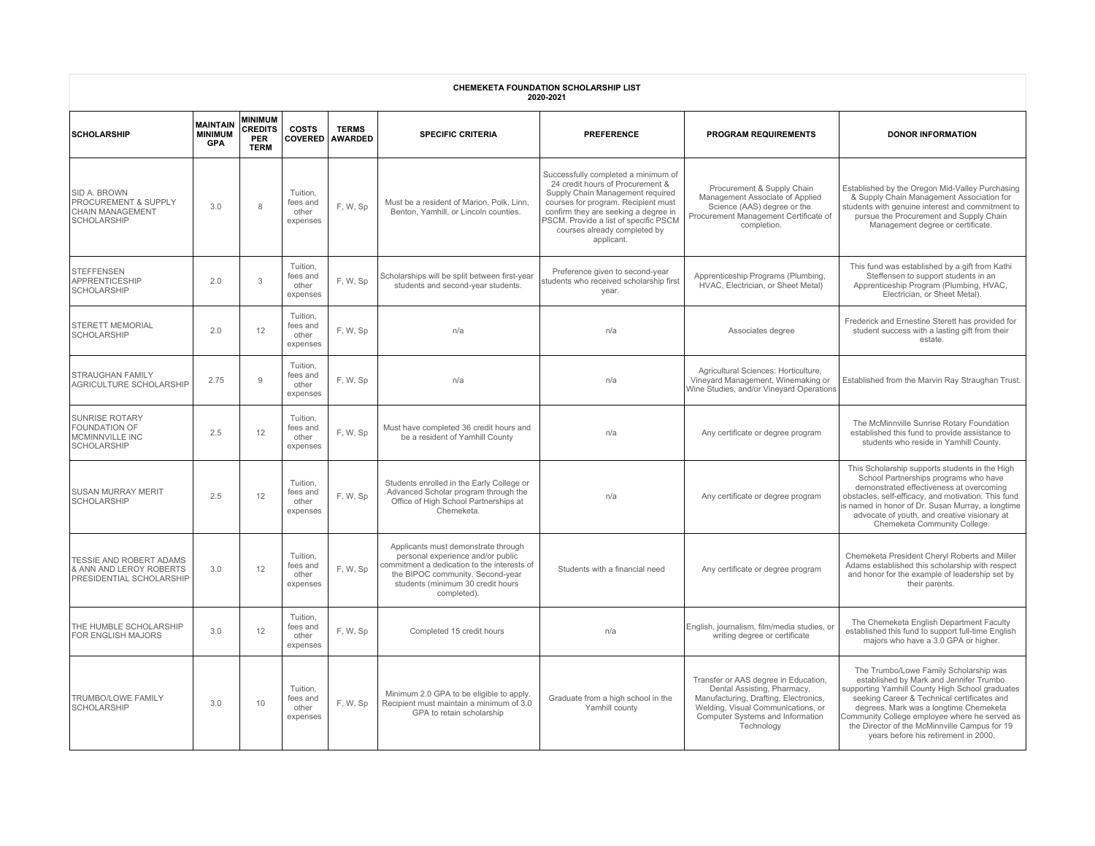| <b>CHEMEKETA FOUNDATION SCHOLARSHIP LIST</b><br>2020-2021                                               |                                                 |                                                        |                                           |                                |                                                                                                                                                                                                                 |                                                                                                                                                                                                                                                                                   |                                                                                                                                                                                                      |                                                                                                                                                                                                                                                                                                                                                                         |  |  |
|---------------------------------------------------------------------------------------------------------|-------------------------------------------------|--------------------------------------------------------|-------------------------------------------|--------------------------------|-----------------------------------------------------------------------------------------------------------------------------------------------------------------------------------------------------------------|-----------------------------------------------------------------------------------------------------------------------------------------------------------------------------------------------------------------------------------------------------------------------------------|------------------------------------------------------------------------------------------------------------------------------------------------------------------------------------------------------|-------------------------------------------------------------------------------------------------------------------------------------------------------------------------------------------------------------------------------------------------------------------------------------------------------------------------------------------------------------------------|--|--|
| <b>SCHOLARSHIP</b>                                                                                      | <b>MAINTAIN</b><br><b>MINIMUM</b><br><b>GPA</b> | <b>MINIMUM</b><br><b>CREDITS</b><br>PER<br><b>TERM</b> | <b>COSTS</b><br><b>COVERED</b>            | <b>TERMS</b><br><b>AWARDED</b> | <b>SPECIFIC CRITERIA</b>                                                                                                                                                                                        | <b>PREFERENCE</b>                                                                                                                                                                                                                                                                 | <b>PROGRAM REQUIREMENTS</b>                                                                                                                                                                          | <b>DONOR INFORMATION</b>                                                                                                                                                                                                                                                                                                                                                |  |  |
| <b>SID A. BROWN</b><br><b>PROCUREMENT &amp; SUPPLY</b><br><b>CHAIN MANAGEMENT</b><br><b>SCHOLARSHIP</b> | 3.0                                             | $\mathsf{R}$                                           | Tuition.<br>fees and<br>other<br>expenses | F. W, Sp                       | Must be a resident of Marion, Polk, Linn,<br>Benton, Yamhill, or Lincoln counties.                                                                                                                              | Successfully completed a minimum of<br>24 credit hours of Procurement &<br>Supply Chain Management required<br>courses for program. Recipient must<br>confirm they are seeking a degree in<br>PSCM. Provide a list of specific PSCM<br>courses already completed by<br>applicant. | Procurement & Supply Chain<br>Management Associate of Applied<br>Science (AAS) degree or the<br>Procurement Management Certificate of<br>completion.                                                 | Established by the Oregon Mid-Valley Purchasing<br>& Supply Chain Management Association for<br>students with genuine interest and commitment to<br>pursue the Procurement and Supply Chain<br>Management degree or certificate.                                                                                                                                        |  |  |
| STEFFENSEN<br><b>APPRENTICESHIP</b><br><b>SCHOLARSHIP</b>                                               | 2.0                                             | 3                                                      | Tuition,<br>fees and<br>other<br>expenses | F. W. Sp                       | Scholarships will be split between first-year<br>students and second-year students.                                                                                                                             | Preference given to second-year<br>students who received scholarship first<br>year.                                                                                                                                                                                               | Apprenticeship Programs (Plumbing,<br>HVAC. Electrician, or Sheet Metal)                                                                                                                             | This fund was established by a gift from Kathi<br>Steffensen to support students in an<br>Apprenticeship Program (Plumbing, HVAC,<br>Electrician, or Sheet Metal).                                                                                                                                                                                                      |  |  |
| <b>STERETT MEMORIAL</b><br><b>SCHOLARSHIP</b>                                                           | 2.0                                             | 12                                                     | Tuition,<br>fees and<br>other<br>expenses | F. W. Sp                       | n/a                                                                                                                                                                                                             | n/a                                                                                                                                                                                                                                                                               | Associates degree                                                                                                                                                                                    | Frederick and Ernestine Sterett has provided for<br>student success with a lasting gift from their<br>estate.                                                                                                                                                                                                                                                           |  |  |
| STRAUGHAN FAMILY<br>AGRICULTURE SCHOLARSHIP                                                             | 2.75                                            | 9                                                      | Tuition,<br>fees and<br>other<br>expenses | F, W, Sp                       | n/a                                                                                                                                                                                                             | n/a                                                                                                                                                                                                                                                                               | Agricultural Sciences: Horticulture,<br>Vineyard Management, Winemaking or<br>Wine Studies, and/or Vineyard Operations                                                                               | Established from the Marvin Ray Straughan Trust.                                                                                                                                                                                                                                                                                                                        |  |  |
| <b>SUNRISE ROTARY</b><br><b>FOUNDATION OF</b><br><b>MCMINNVILLE INC</b><br><b>SCHOLARSHIP</b>           | 2.5                                             | 12                                                     | Tuition,<br>fees and<br>other<br>expenses | F, W, Sp                       | Must have completed 36 credit hours and<br>be a resident of Yamhill County                                                                                                                                      | n/a                                                                                                                                                                                                                                                                               | Any certificate or degree program                                                                                                                                                                    | The McMinnville Sunrise Rotary Foundation<br>established this fund to provide assistance to<br>students who reside in Yamhill County.                                                                                                                                                                                                                                   |  |  |
| <b>SUSAN MURRAY MERIT</b><br><b>SCHOLARSHIP</b>                                                         | 2.5                                             | 12                                                     | Tuition,<br>fees and<br>other<br>expenses | F, W, Sp                       | Students enrolled in the Early College or<br>Advanced Scholar program through the<br>Office of High School Partnerships at<br>Chemeketa.                                                                        | n/a                                                                                                                                                                                                                                                                               | Any certificate or degree program                                                                                                                                                                    | This Scholarship supports students in the High<br>School Partnerships programs who have<br>demonstrated effectiveness at overcoming<br>obstacles, self-efficacy, and motivation. This fund<br>is named in honor of Dr. Susan Murray, a longtime<br>advocate of youth, and creative visionary at<br>Chemeketa Community College.                                         |  |  |
| <b>TESSIE AND ROBERT ADAMS</b><br>& ANN AND LEROY ROBERTS<br>PRESIDENTIAL SCHOLARSHIP                   | 3.0                                             | 12                                                     | Tuition,<br>fees and<br>other<br>expenses | F, W, Sp                       | Applicants must demonstrate through<br>personal experience and/or public<br>commitment a dedication to the interests of<br>the BIPOC community. Second-year<br>students (minimum 30 credit hours<br>completed). | Students with a financial need                                                                                                                                                                                                                                                    | Any certificate or degree program                                                                                                                                                                    | Chemeketa President Cheryl Roberts and Miller<br>Adams established this scholarship with respect<br>and honor for the example of leadership set by<br>their parents.                                                                                                                                                                                                    |  |  |
| THE HUMBLE SCHOLARSHIP<br>FOR ENGLISH MAJORS                                                            | 3.0                                             | 12                                                     | Tuition,<br>fees and<br>other<br>expenses | F, W, Sp                       | Completed 15 credit hours                                                                                                                                                                                       | n/a                                                                                                                                                                                                                                                                               | English, journalism, film/media studies, or<br>writing degree or certificate                                                                                                                         | The Chemeketa English Department Faculty<br>established this fund to support full-time English<br>majors who have a 3.0 GPA or higher.                                                                                                                                                                                                                                  |  |  |
| TRUMBO/LOWE FAMILY<br><b>SCHOLARSHIP</b>                                                                | 3.0                                             | 10                                                     | Tuition,<br>fees and<br>other<br>expenses | F, W, Sp                       | Minimum 2.0 GPA to be eligible to apply.<br>Recipient must maintain a minimum of 3.0<br>GPA to retain scholarship                                                                                               | Graduate from a high school in the<br>Yamhill county                                                                                                                                                                                                                              | Transfer or AAS degree in Education,<br>Dental Assisting, Pharmacy,<br>Manufacturing, Drafting, Electronics,<br>Welding, Visual Communications, or<br>Computer Systems and Information<br>Technology | The Trumbo/Lowe Family Scholarship was<br>established by Mark and Jennifer Trumbo<br>supporting Yamhill County High School graduates<br>seeking Career & Technical certificates and<br>degrees. Mark was a longtime Chemeketa<br>Community College employee where he served as<br>the Director of the McMinnville Campus for 19<br>years before his retirement in 2000. |  |  |